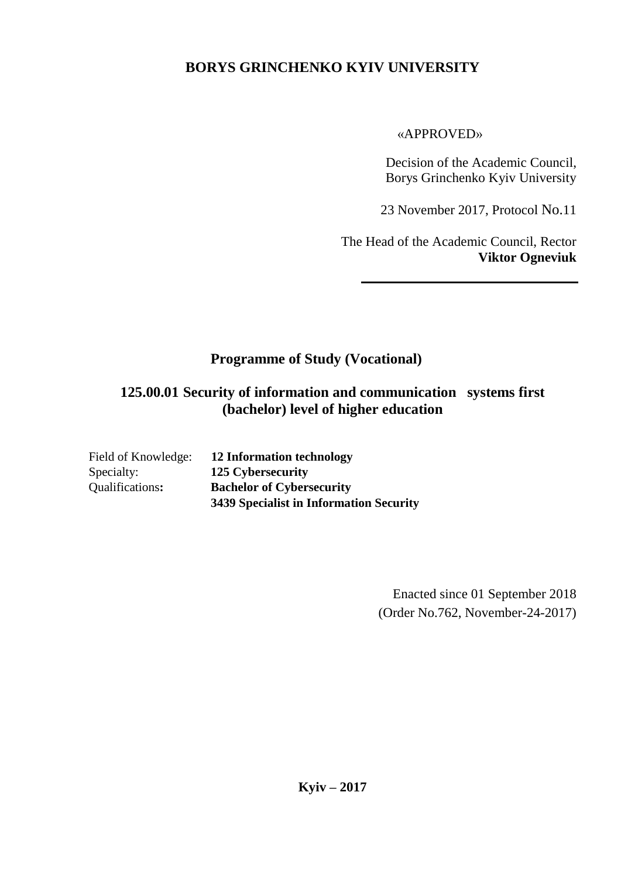# **BORYS GRINCHENKO KYIV UNIVERSITY**

#### «APPROVED»

Decision of the Academic Council, Borys Grinchenko Kyiv University

23 November 2017, Protocol No.11

The Head of the Academic Council, Rector **Viktor Ogneviuk**

# **Programme of Study (Vocational)**

# **125.00.01 Security of information and communication systems first (bachelor) level of higher education**

| Field of Knowledge: | 12 Information technology               |
|---------------------|-----------------------------------------|
| Specialty:          | 125 Cybersecurity                       |
| Qualifications:     | <b>Bachelor of Cybersecurity</b>        |
|                     | 3439 Specialist in Information Security |

Enacted since 01 September 2018 (Order No.762, November-24-2017)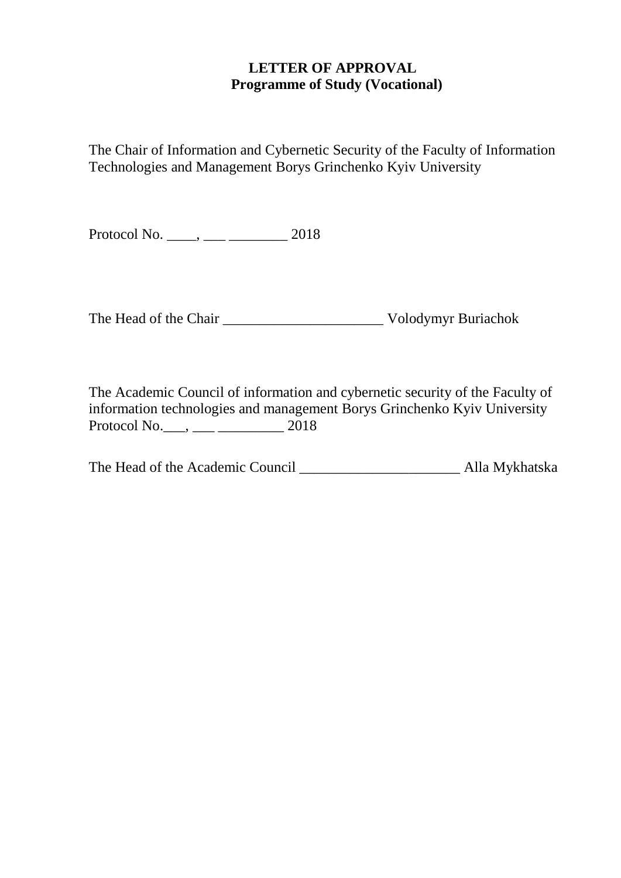#### **LETTER OF APPROVAL Programme of Study (Vocational)**

The Chair of Information and Cybernetic Security of the Faculty of Information Technologies and Management Borys Grinchenko Kyiv University

Protocol No. \_\_\_\_, \_\_\_ \_\_\_\_\_\_\_\_ 2018

The Head of the Chair \_\_\_\_\_\_\_\_\_\_\_\_\_\_\_\_\_\_\_\_\_\_ Volodymyr Buriachok

The Academic Council of information and cybernetic security of the Faculty of information technologies and management Borys Grinchenko Kyiv University Protocol No.\_\_\_, \_\_\_ \_\_\_\_\_\_\_\_\_ 2018

The Head of the Academic Council \_\_\_\_\_\_\_\_\_\_\_\_\_\_\_\_\_\_\_\_\_\_\_\_\_\_\_ Alla Mykhatska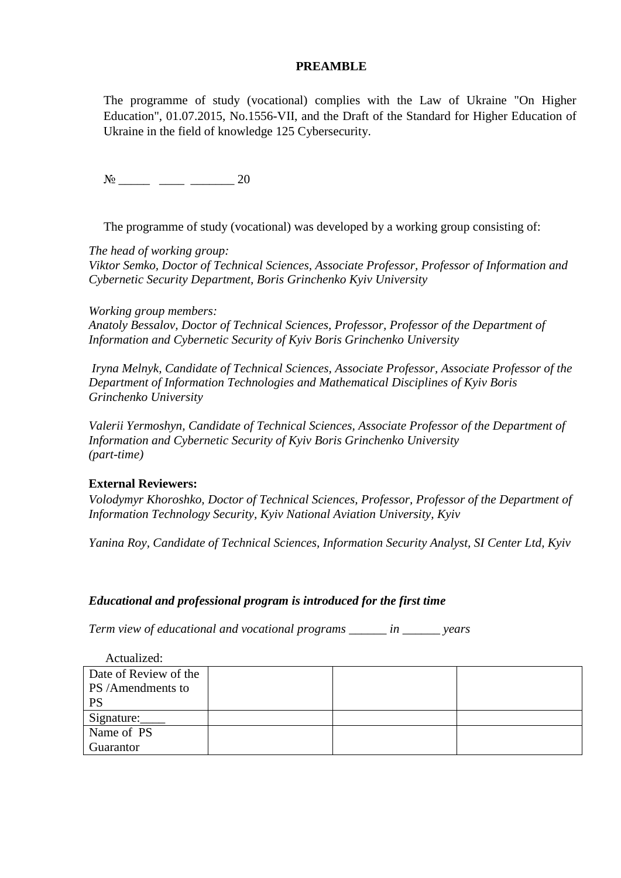#### **PREAMBLE**

The programme of study (vocational) complies with the Law of Ukraine "On Higher Education", 01.07.2015, No.1556-VІІ, and the Draft of the Standard for Higher Education of Ukraine in the field of knowledge 125 Cybersecurity.

№ \_\_\_\_\_ \_\_\_\_ \_\_\_\_\_\_\_ 20

The programme of study (vocational) was developed by a working group consisting of:

*The head of working group:*

*Viktor Semko, Doctor of Technical Sciences, Associate Professor, Professor of Information and Cybernetic Security Department, Boris Grinchenko Kyiv University*

*Working group members: Anatoly Bessalov, Doctor of Technical Sciences, Professor, Professor of the Department of Information and Cybernetic Security of Kyiv Boris Grinchenko University*

*Iryna Melnyk, Candidate of Technical Sciences, Associate Professor, Associate Professor of the Department of Information Technologies and Mathematical Disciplines of Kyiv Boris Grinchenko University*

*Valerii Yermoshyn, Candidate of Technical Sciences, Associate Professor of the Department of Information and Cybernetic Security of Kyiv Boris Grinchenko University (part-time)*

#### **External Reviewers:**

*Volodymyr Khoroshko, Doctor of Technical Sciences, Professor, Professor of the Department of Information Technology Security, Kyiv National Aviation University, Kyiv*

*Yanina Roy, Candidate of Technical Sciences, Information Security Analyst, SI Center Ltd, Kyiv*

#### *Educational and professional program is introduced for the first time*

*Term view of educational and vocational programs \_\_\_\_\_\_ in \_\_\_\_\_\_ years*

| Actualized:           |  |  |
|-----------------------|--|--|
| Date of Review of the |  |  |
| PS /Amendments to     |  |  |
| <b>PS</b>             |  |  |
| Signature:            |  |  |
| Name of PS            |  |  |
| Guarantor             |  |  |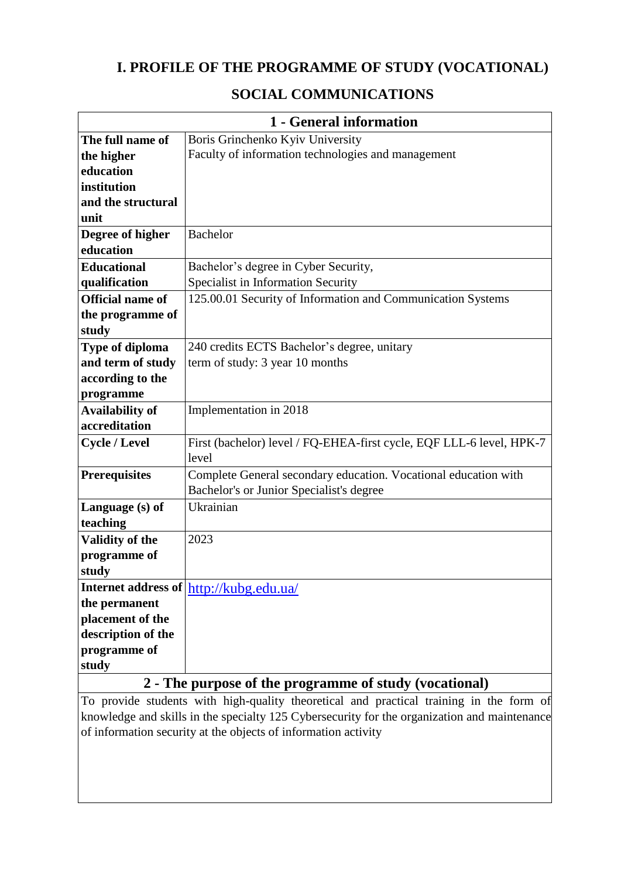# **I. PROFILE OF THE PROGRAMME OF STUDY (VOCATIONAL)**

### **SOCIAL COMMUNICATIONS**

|                         | 1 - General information                                              |
|-------------------------|----------------------------------------------------------------------|
| The full name of        | Boris Grinchenko Kyiv University                                     |
| the higher              | Faculty of information technologies and management                   |
| education               |                                                                      |
| institution             |                                                                      |
| and the structural      |                                                                      |
| unit                    |                                                                      |
| Degree of higher        | <b>Bachelor</b>                                                      |
| education               |                                                                      |
| <b>Educational</b>      | Bachelor's degree in Cyber Security,                                 |
| qualification           | Specialist in Information Security                                   |
| <b>Official name of</b> | 125.00.01 Security of Information and Communication Systems          |
| the programme of        |                                                                      |
| study                   |                                                                      |
| <b>Type of diploma</b>  | 240 credits ECTS Bachelor's degree, unitary                          |
| and term of study       | term of study: 3 year 10 months                                      |
| according to the        |                                                                      |
| programme               |                                                                      |
| <b>Availability of</b>  | Implementation in 2018                                               |
| accreditation           |                                                                      |
| <b>Cycle / Level</b>    | First (bachelor) level / FQ-EHEA-first cycle, EQF LLL-6 level, HPK-7 |
|                         | level                                                                |
| <b>Prerequisites</b>    | Complete General secondary education. Vocational education with      |
|                         | Bachelor's or Junior Specialist's degree                             |
| Language (s) of         | Ukrainian                                                            |
| teaching                |                                                                      |
| <b>Validity of the</b>  | 2023                                                                 |
| programme of            |                                                                      |
| study                   |                                                                      |
|                         | Internet address of http://kubg.edu.ua/                              |
| the permanent           |                                                                      |
| placement of the        |                                                                      |
| description of the      |                                                                      |
| programme of            |                                                                      |
| study                   |                                                                      |
| $\mathbf{\Omega}$       | The nurnese of the pregramme of study (vecetional)                   |

#### **2 - The purpose of the programme of study (vocational)**

To provide students with high-quality theoretical and practical training in the form of knowledge and skills in the specialty 125 Cybersecurity for the organization and maintenance of information security at the objects of information activity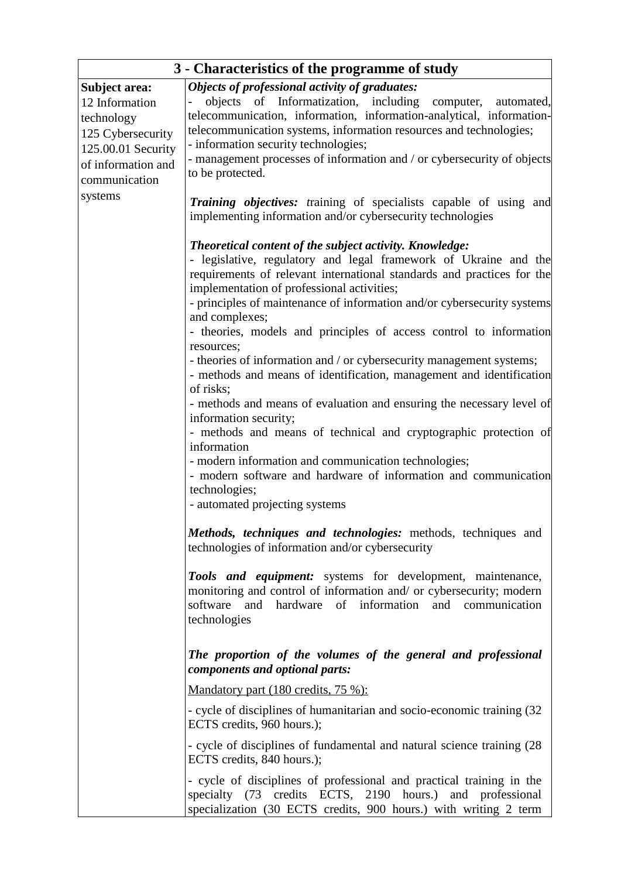| 3 - Characteristics of the programme of study                                                                                              |                                                                                                                                                                                                                                                                                                                                                                                                                                                                                                                                                                                                                                                                                                                                                                                                                                                                                                                                                                      |  |  |  |  |
|--------------------------------------------------------------------------------------------------------------------------------------------|----------------------------------------------------------------------------------------------------------------------------------------------------------------------------------------------------------------------------------------------------------------------------------------------------------------------------------------------------------------------------------------------------------------------------------------------------------------------------------------------------------------------------------------------------------------------------------------------------------------------------------------------------------------------------------------------------------------------------------------------------------------------------------------------------------------------------------------------------------------------------------------------------------------------------------------------------------------------|--|--|--|--|
| Subject area:<br>12 Information<br>technology<br>125 Cybersecurity<br>125.00.01 Security<br>of information and<br>communication<br>systems | Objects of professional activity of graduates:<br>objects of Informatization, including<br>computer,<br>automated,<br>telecommunication, information, information-analytical, information-<br>telecommunication systems, information resources and technologies;<br>- information security technologies;<br>- management processes of information and / or cybersecurity of objects<br>to be protected.                                                                                                                                                                                                                                                                                                                                                                                                                                                                                                                                                              |  |  |  |  |
|                                                                                                                                            | <b>Training objectives:</b> training of specialists capable of using and<br>implementing information and/or cybersecurity technologies                                                                                                                                                                                                                                                                                                                                                                                                                                                                                                                                                                                                                                                                                                                                                                                                                               |  |  |  |  |
|                                                                                                                                            | Theoretical content of the subject activity. Knowledge:<br>- legislative, regulatory and legal framework of Ukraine and the<br>requirements of relevant international standards and practices for the<br>implementation of professional activities;<br>- principles of maintenance of information and/or cybersecurity systems<br>and complexes;<br>- theories, models and principles of access control to information<br>resources;<br>- theories of information and / or cybersecurity management systems;<br>- methods and means of identification, management and identification<br>of risks;<br>- methods and means of evaluation and ensuring the necessary level of<br>information security;<br>- methods and means of technical and cryptographic protection of<br>information<br>- modern information and communication technologies;<br>- modern software and hardware of information and communication<br>technologies;<br>- automated projecting systems |  |  |  |  |
|                                                                                                                                            | Methods, techniques and technologies: methods, techniques and<br>technologies of information and/or cybersecurity                                                                                                                                                                                                                                                                                                                                                                                                                                                                                                                                                                                                                                                                                                                                                                                                                                                    |  |  |  |  |
|                                                                                                                                            | Tools and equipment: systems for development, maintenance,<br>monitoring and control of information and/ or cybersecurity; modern<br>software<br>hardware<br>of<br>information<br>and<br>and communication<br>technologies                                                                                                                                                                                                                                                                                                                                                                                                                                                                                                                                                                                                                                                                                                                                           |  |  |  |  |
|                                                                                                                                            | The proportion of the volumes of the general and professional<br>components and optional parts:                                                                                                                                                                                                                                                                                                                                                                                                                                                                                                                                                                                                                                                                                                                                                                                                                                                                      |  |  |  |  |
|                                                                                                                                            | Mandatory part (180 credits, 75 %):                                                                                                                                                                                                                                                                                                                                                                                                                                                                                                                                                                                                                                                                                                                                                                                                                                                                                                                                  |  |  |  |  |
|                                                                                                                                            | - cycle of disciplines of humanitarian and socio-economic training (32)<br>ECTS credits, 960 hours.);                                                                                                                                                                                                                                                                                                                                                                                                                                                                                                                                                                                                                                                                                                                                                                                                                                                                |  |  |  |  |
|                                                                                                                                            | - cycle of disciplines of fundamental and natural science training (28)<br>ECTS credits, 840 hours.);                                                                                                                                                                                                                                                                                                                                                                                                                                                                                                                                                                                                                                                                                                                                                                                                                                                                |  |  |  |  |
|                                                                                                                                            | - cycle of disciplines of professional and practical training in the<br>specialty (73 credits ECTS, 2190 hours.) and professional<br>specialization (30 ECTS credits, 900 hours.) with writing 2 term                                                                                                                                                                                                                                                                                                                                                                                                                                                                                                                                                                                                                                                                                                                                                                |  |  |  |  |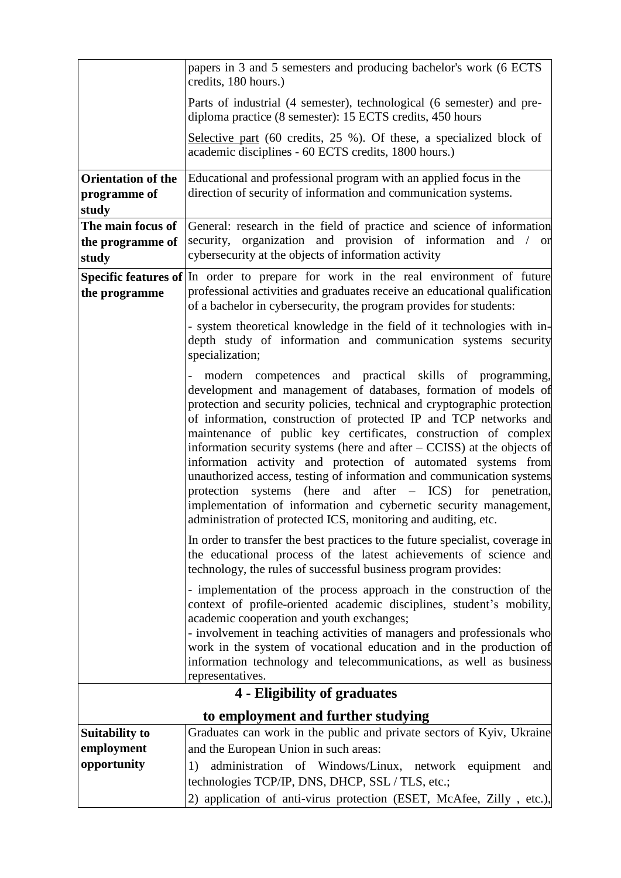|                           | papers in 3 and 5 semesters and producing bachelor's work (6 ECTS<br>credits, 180 hours.)                                                                                                                                                                                                                                                                                                                                                                                                                                                                                                                                                                                                                                                                                    |
|---------------------------|------------------------------------------------------------------------------------------------------------------------------------------------------------------------------------------------------------------------------------------------------------------------------------------------------------------------------------------------------------------------------------------------------------------------------------------------------------------------------------------------------------------------------------------------------------------------------------------------------------------------------------------------------------------------------------------------------------------------------------------------------------------------------|
|                           | Parts of industrial (4 semester), technological (6 semester) and pre-<br>diploma practice (8 semester): 15 ECTS credits, 450 hours                                                                                                                                                                                                                                                                                                                                                                                                                                                                                                                                                                                                                                           |
|                           | Selective part (60 credits, 25 %). Of these, a specialized block of<br>academic disciplines - 60 ECTS credits, 1800 hours.)                                                                                                                                                                                                                                                                                                                                                                                                                                                                                                                                                                                                                                                  |
| <b>Orientation of the</b> | Educational and professional program with an applied focus in the                                                                                                                                                                                                                                                                                                                                                                                                                                                                                                                                                                                                                                                                                                            |
| programme of<br>study     | direction of security of information and communication systems.                                                                                                                                                                                                                                                                                                                                                                                                                                                                                                                                                                                                                                                                                                              |
| The main focus of         | General: research in the field of practice and science of information                                                                                                                                                                                                                                                                                                                                                                                                                                                                                                                                                                                                                                                                                                        |
| the programme of          | security, organization and provision of information<br>and $\prime$ or                                                                                                                                                                                                                                                                                                                                                                                                                                                                                                                                                                                                                                                                                                       |
| study                     | cybersecurity at the objects of information activity                                                                                                                                                                                                                                                                                                                                                                                                                                                                                                                                                                                                                                                                                                                         |
|                           | Specific features of In order to prepare for work in the real environment of future                                                                                                                                                                                                                                                                                                                                                                                                                                                                                                                                                                                                                                                                                          |
| the programme             | professional activities and graduates receive an educational qualification<br>of a bachelor in cybersecurity, the program provides for students:                                                                                                                                                                                                                                                                                                                                                                                                                                                                                                                                                                                                                             |
|                           | - system theoretical knowledge in the field of it technologies with in-<br>depth study of information and communication systems security<br>specialization;                                                                                                                                                                                                                                                                                                                                                                                                                                                                                                                                                                                                                  |
|                           | modern competences and practical skills of programming,<br>development and management of databases, formation of models of<br>protection and security policies, technical and cryptographic protection<br>of information, construction of protected IP and TCP networks and<br>maintenance of public key certificates, construction of complex<br>information security systems (here and after $-$ CCISS) at the objects of<br>information activity and protection of automated systems from<br>unauthorized access, testing of information and communication systems<br>protection systems (here and after $-$ ICS) for penetration,<br>implementation of information and cybernetic security management,<br>administration of protected ICS, monitoring and auditing, etc. |
|                           | In order to transfer the best practices to the future specialist, coverage in<br>the educational process of the latest achievements of science and<br>technology, the rules of successful business program provides:                                                                                                                                                                                                                                                                                                                                                                                                                                                                                                                                                         |
|                           | - implementation of the process approach in the construction of the<br>context of profile-oriented academic disciplines, student's mobility,<br>academic cooperation and youth exchanges;<br>- involvement in teaching activities of managers and professionals who<br>work in the system of vocational education and in the production of<br>information technology and telecommunications, as well as business<br>representatives.                                                                                                                                                                                                                                                                                                                                         |
|                           | <b>4 - Eligibility of graduates</b>                                                                                                                                                                                                                                                                                                                                                                                                                                                                                                                                                                                                                                                                                                                                          |
|                           | to employment and further studying                                                                                                                                                                                                                                                                                                                                                                                                                                                                                                                                                                                                                                                                                                                                           |
| <b>Suitability to</b>     | Graduates can work in the public and private sectors of Kyiv, Ukraine                                                                                                                                                                                                                                                                                                                                                                                                                                                                                                                                                                                                                                                                                                        |
| employment                | and the European Union in such areas:                                                                                                                                                                                                                                                                                                                                                                                                                                                                                                                                                                                                                                                                                                                                        |
| opportunity               | administration of Windows/Linux, network equipment<br>1)<br>and<br>technologies TCP/IP, DNS, DHCP, SSL / TLS, etc.;                                                                                                                                                                                                                                                                                                                                                                                                                                                                                                                                                                                                                                                          |
|                           | 2) application of anti-virus protection (ESET, McAfee, Zilly, etc.),                                                                                                                                                                                                                                                                                                                                                                                                                                                                                                                                                                                                                                                                                                         |
|                           |                                                                                                                                                                                                                                                                                                                                                                                                                                                                                                                                                                                                                                                                                                                                                                              |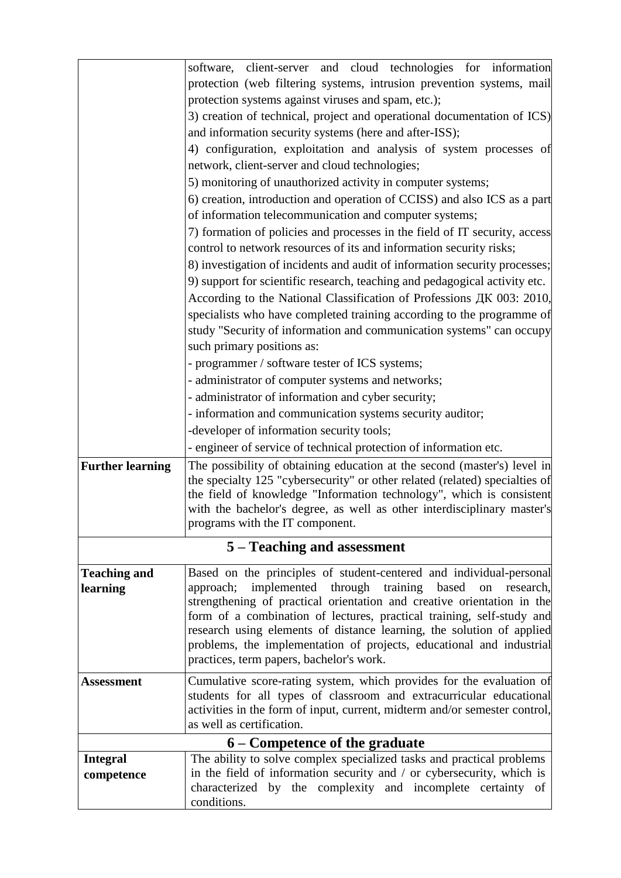|                         | software, client-server and cloud technologies for information                                                                                    |  |  |  |  |  |  |  |
|-------------------------|---------------------------------------------------------------------------------------------------------------------------------------------------|--|--|--|--|--|--|--|
|                         | protection (web filtering systems, intrusion prevention systems, mail                                                                             |  |  |  |  |  |  |  |
|                         | protection systems against viruses and spam, etc.);                                                                                               |  |  |  |  |  |  |  |
|                         | 3) creation of technical, project and operational documentation of ICS)                                                                           |  |  |  |  |  |  |  |
|                         | and information security systems (here and after-ISS);                                                                                            |  |  |  |  |  |  |  |
|                         | 4) configuration, exploitation and analysis of system processes of                                                                                |  |  |  |  |  |  |  |
|                         | network, client-server and cloud technologies;                                                                                                    |  |  |  |  |  |  |  |
|                         | 5) monitoring of unauthorized activity in computer systems;                                                                                       |  |  |  |  |  |  |  |
|                         | 6) creation, introduction and operation of CCISS) and also ICS as a part                                                                          |  |  |  |  |  |  |  |
|                         | of information telecommunication and computer systems;                                                                                            |  |  |  |  |  |  |  |
|                         | 7) formation of policies and processes in the field of IT security, access<br>control to network resources of its and information security risks; |  |  |  |  |  |  |  |
|                         | 8) investigation of incidents and audit of information security processes;                                                                        |  |  |  |  |  |  |  |
|                         | 9) support for scientific research, teaching and pedagogical activity etc.                                                                        |  |  |  |  |  |  |  |
|                         | According to the National Classification of Professions ДК 003: 2010,                                                                             |  |  |  |  |  |  |  |
|                         | specialists who have completed training according to the programme of                                                                             |  |  |  |  |  |  |  |
|                         | study "Security of information and communication systems" can occupy                                                                              |  |  |  |  |  |  |  |
|                         | such primary positions as:                                                                                                                        |  |  |  |  |  |  |  |
|                         | - programmer / software tester of ICS systems;                                                                                                    |  |  |  |  |  |  |  |
|                         | - administrator of computer systems and networks;                                                                                                 |  |  |  |  |  |  |  |
|                         | - administrator of information and cyber security;                                                                                                |  |  |  |  |  |  |  |
|                         | - information and communication systems security auditor;                                                                                         |  |  |  |  |  |  |  |
|                         | -developer of information security tools;                                                                                                         |  |  |  |  |  |  |  |
|                         | - engineer of service of technical protection of information etc.                                                                                 |  |  |  |  |  |  |  |
| <b>Further learning</b> | The possibility of obtaining education at the second (master's) level in                                                                          |  |  |  |  |  |  |  |
|                         | the specialty 125 "cybersecurity" or other related (related) specialties of                                                                       |  |  |  |  |  |  |  |
|                         | the field of knowledge "Information technology", which is consistent                                                                              |  |  |  |  |  |  |  |
|                         | with the bachelor's degree, as well as other interdisciplinary master's                                                                           |  |  |  |  |  |  |  |
|                         | programs with the IT component.                                                                                                                   |  |  |  |  |  |  |  |
|                         | 5 – Teaching and assessment                                                                                                                       |  |  |  |  |  |  |  |
| <b>Teaching and</b>     | Based on the principles of student-centered and individual-personal                                                                               |  |  |  |  |  |  |  |
| learning                | implemented through training based<br>on research,<br>approach;                                                                                   |  |  |  |  |  |  |  |
|                         | strengthening of practical orientation and creative orientation in the                                                                            |  |  |  |  |  |  |  |
|                         | form of a combination of lectures, practical training, self-study and                                                                             |  |  |  |  |  |  |  |
|                         | research using elements of distance learning, the solution of applied                                                                             |  |  |  |  |  |  |  |
|                         | problems, the implementation of projects, educational and industrial<br>practices, term papers, bachelor's work.                                  |  |  |  |  |  |  |  |
|                         |                                                                                                                                                   |  |  |  |  |  |  |  |
| Assessment              | Cumulative score-rating system, which provides for the evaluation of                                                                              |  |  |  |  |  |  |  |
|                         | students for all types of classroom and extracurricular educational<br>activities in the form of input, current, midterm and/or semester control, |  |  |  |  |  |  |  |
|                         | as well as certification.                                                                                                                         |  |  |  |  |  |  |  |
|                         | 6 – Competence of the graduate                                                                                                                    |  |  |  |  |  |  |  |
| <b>Integral</b>         | The ability to solve complex specialized tasks and practical problems                                                                             |  |  |  |  |  |  |  |
| competence              | in the field of information security and / or cybersecurity, which is                                                                             |  |  |  |  |  |  |  |
|                         | characterized by the complexity and incomplete certainty of                                                                                       |  |  |  |  |  |  |  |
|                         | conditions.                                                                                                                                       |  |  |  |  |  |  |  |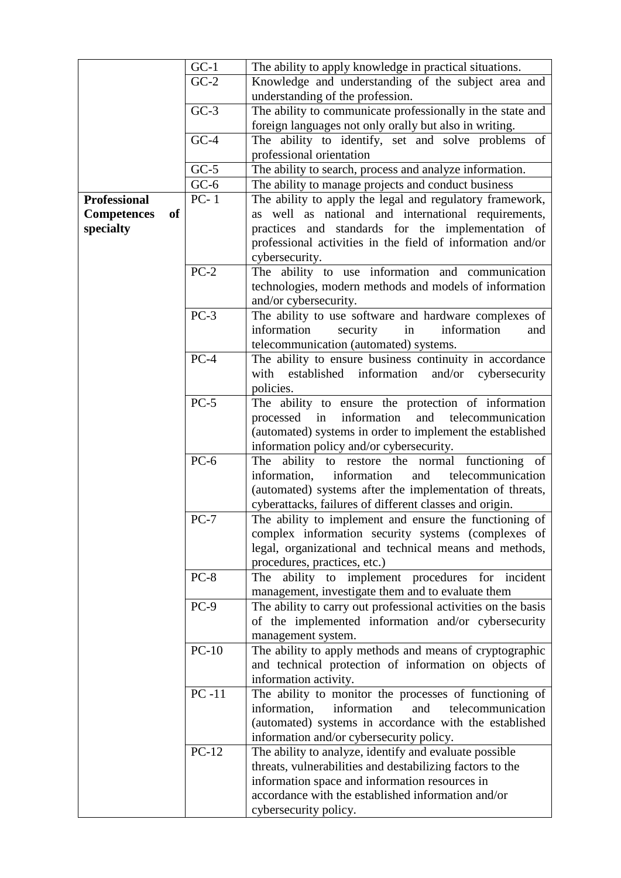|                     |    | $GC-1$  | The ability to apply knowledge in practical situations.        |
|---------------------|----|---------|----------------------------------------------------------------|
|                     |    | $GC-2$  | Knowledge and understanding of the subject area and            |
|                     |    |         | understanding of the profession.                               |
|                     |    | $GC-3$  | The ability to communicate professionally in the state and     |
|                     |    |         | foreign languages not only orally but also in writing.         |
|                     |    | $GC-4$  | The ability to identify, set and solve problems of             |
|                     |    |         | professional orientation                                       |
|                     |    | $GC-5$  | The ability to search, process and analyze information.        |
|                     |    | $GC-6$  | The ability to manage projects and conduct business            |
| <b>Professional</b> |    | $PC-1$  |                                                                |
|                     |    |         | The ability to apply the legal and regulatory framework,       |
| <b>Competences</b>  | of |         | as well as national and international requirements,            |
| specialty           |    |         | practices and standards for the implementation of              |
|                     |    |         | professional activities in the field of information and/or     |
|                     |    |         | cybersecurity.                                                 |
|                     |    | $PC-2$  | The ability to use information and communication               |
|                     |    |         | technologies, modern methods and models of information         |
|                     |    |         | and/or cybersecurity.                                          |
|                     |    | $PC-3$  | The ability to use software and hardware complexes of          |
|                     |    |         | information<br>information<br>security<br>in<br>and            |
|                     |    |         | telecommunication (automated) systems.                         |
|                     |    | $PC-4$  | The ability to ensure business continuity in accordance        |
|                     |    |         | with<br>established<br>information<br>and/or<br>cybersecurity  |
|                     |    |         | policies.                                                      |
|                     |    | $PC-5$  | The ability to ensure the protection of information            |
|                     |    |         | information<br>processed in<br>and<br>telecommunication        |
|                     |    |         | (automated) systems in order to implement the established      |
|                     |    |         | information policy and/or cybersecurity.                       |
|                     |    | $PC-6$  | The ability to restore the normal functioning of               |
|                     |    |         | information,<br>information<br>telecommunication<br>and        |
|                     |    |         | (automated) systems after the implementation of threats,       |
|                     |    |         | cyberattacks, failures of different classes and origin.        |
|                     |    | $PC-7$  | The ability to implement and ensure the functioning of $\vert$ |
|                     |    |         | complex information security systems (complexes of             |
|                     |    |         | legal, organizational and technical means and methods,         |
|                     |    |         | procedures, practices, etc.)                                   |
|                     |    | $PC-8$  | ability to implement procedures for incident<br>The            |
|                     |    |         | management, investigate them and to evaluate them              |
|                     |    | $PC-9$  | The ability to carry out professional activities on the basis  |
|                     |    |         | of the implemented information and/or cybersecurity            |
|                     |    |         | management system.                                             |
|                     |    | $PC-10$ | The ability to apply methods and means of cryptographic        |
|                     |    |         | and technical protection of information on objects of          |
|                     |    |         | information activity.                                          |
|                     |    | $PC-11$ | The ability to monitor the processes of functioning of         |
|                     |    |         | information,<br>information<br>telecommunication<br>and        |
|                     |    |         | (automated) systems in accordance with the established         |
|                     |    |         | information and/or cybersecurity policy.                       |
|                     |    | $PC-12$ | The ability to analyze, identify and evaluate possible         |
|                     |    |         | threats, vulnerabilities and destabilizing factors to the      |
|                     |    |         | information space and information resources in                 |
|                     |    |         | accordance with the established information and/or             |
|                     |    |         | cybersecurity policy.                                          |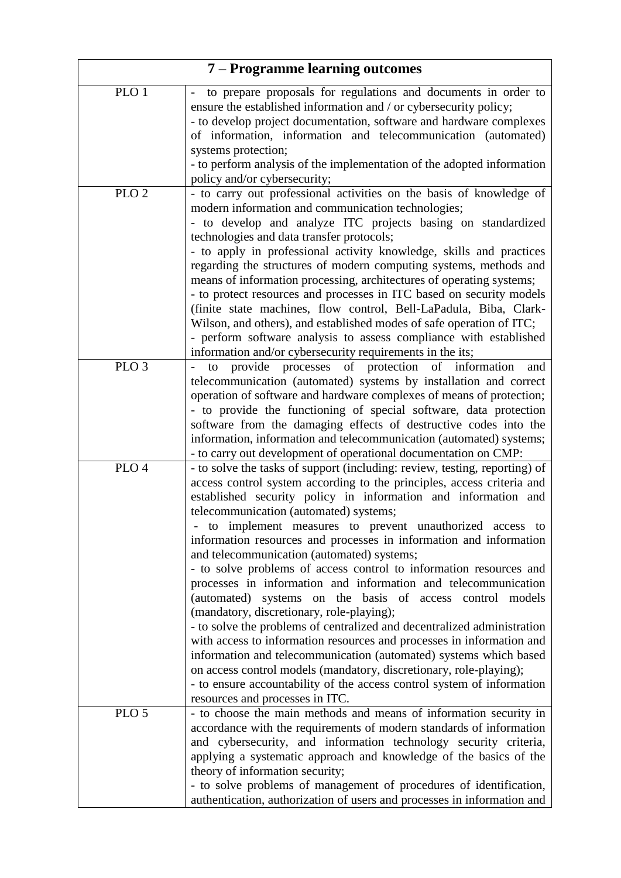| 7 – Programme learning outcomes |                                                                                                                                                                                                                                                                                                                                                                                                                                                                                                                                                                                                                                                                                                                                                                                                                                                                                                                                                                                                                                                                                                               |  |  |  |  |
|---------------------------------|---------------------------------------------------------------------------------------------------------------------------------------------------------------------------------------------------------------------------------------------------------------------------------------------------------------------------------------------------------------------------------------------------------------------------------------------------------------------------------------------------------------------------------------------------------------------------------------------------------------------------------------------------------------------------------------------------------------------------------------------------------------------------------------------------------------------------------------------------------------------------------------------------------------------------------------------------------------------------------------------------------------------------------------------------------------------------------------------------------------|--|--|--|--|
| PLO 1                           | to prepare proposals for regulations and documents in order to<br>ensure the established information and / or cybersecurity policy;<br>- to develop project documentation, software and hardware complexes<br>of information, information and telecommunication (automated)<br>systems protection;<br>- to perform analysis of the implementation of the adopted information                                                                                                                                                                                                                                                                                                                                                                                                                                                                                                                                                                                                                                                                                                                                  |  |  |  |  |
| PLO <sub>2</sub>                | policy and/or cybersecurity;<br>- to carry out professional activities on the basis of knowledge of<br>modern information and communication technologies;<br>- to develop and analyze ITC projects basing on standardized<br>technologies and data transfer protocols;<br>- to apply in professional activity knowledge, skills and practices<br>regarding the structures of modern computing systems, methods and<br>means of information processing, architectures of operating systems;<br>- to protect resources and processes in ITC based on security models<br>(finite state machines, flow control, Bell-LaPadula, Biba, Clark-<br>Wilson, and others), and established modes of safe operation of ITC;<br>- perform software analysis to assess compliance with established                                                                                                                                                                                                                                                                                                                          |  |  |  |  |
| PLO <sub>3</sub>                | information and/or cybersecurity requirements in the its;<br>provide processes of protection of information<br>to<br>and<br>telecommunication (automated) systems by installation and correct<br>operation of software and hardware complexes of means of protection;<br>- to provide the functioning of special software, data protection<br>software from the damaging effects of destructive codes into the<br>information, information and telecommunication (automated) systems;<br>- to carry out development of operational documentation on CMP:                                                                                                                                                                                                                                                                                                                                                                                                                                                                                                                                                      |  |  |  |  |
| PLO <sub>4</sub>                | - to solve the tasks of support (including: review, testing, reporting) of<br>access control system according to the principles, access criteria and<br>established security policy in information and information and<br>telecommunication (automated) systems;<br>to implement measures to prevent unauthorized access to<br>information resources and processes in information and information<br>and telecommunication (automated) systems;<br>- to solve problems of access control to information resources and<br>processes in information and information and telecommunication<br>(automated) systems on the basis of access control models<br>(mandatory, discretionary, role-playing);<br>- to solve the problems of centralized and decentralized administration<br>with access to information resources and processes in information and<br>information and telecommunication (automated) systems which based<br>on access control models (mandatory, discretionary, role-playing);<br>- to ensure accountability of the access control system of information<br>resources and processes in ITC. |  |  |  |  |
| PLO <sub>5</sub>                | - to choose the main methods and means of information security in<br>accordance with the requirements of modern standards of information<br>and cybersecurity, and information technology security criteria,<br>applying a systematic approach and knowledge of the basics of the<br>theory of information security;<br>- to solve problems of management of procedures of identification,<br>authentication, authorization of users and processes in information and                                                                                                                                                                                                                                                                                                                                                                                                                                                                                                                                                                                                                                         |  |  |  |  |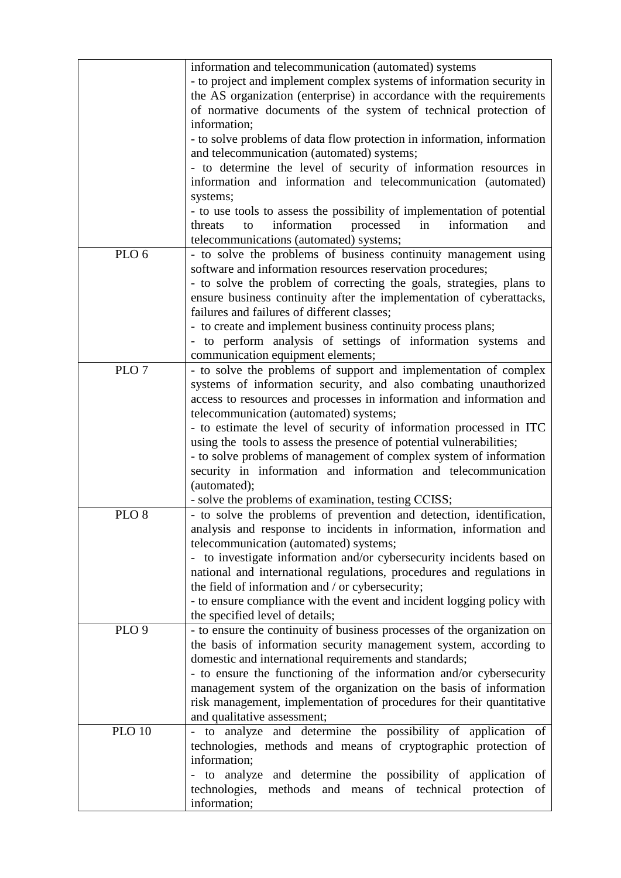|                  | information and telecommunication (automated) systems                   |
|------------------|-------------------------------------------------------------------------|
|                  | - to project and implement complex systems of information security in   |
|                  | the AS organization (enterprise) in accordance with the requirements    |
|                  | of normative documents of the system of technical protection of         |
|                  | information;                                                            |
|                  |                                                                         |
|                  | - to solve problems of data flow protection in information, information |
|                  | and telecommunication (automated) systems;                              |
|                  | - to determine the level of security of information resources in        |
|                  | information and information and telecommunication (automated)           |
|                  | systems;                                                                |
|                  | - to use tools to assess the possibility of implementation of potential |
|                  | information<br>information<br>processed<br>in<br>threats<br>to          |
|                  | and                                                                     |
|                  | telecommunications (automated) systems;                                 |
| PLO <sub>6</sub> | - to solve the problems of business continuity management using         |
|                  | software and information resources reservation procedures;              |
|                  | - to solve the problem of correcting the goals, strategies, plans to    |
|                  | ensure business continuity after the implementation of cyberattacks,    |
|                  | failures and failures of different classes;                             |
|                  | - to create and implement business continuity process plans;            |
|                  |                                                                         |
|                  | - to perform analysis of settings of information systems and            |
|                  | communication equipment elements;                                       |
| PLO <sub>7</sub> | - to solve the problems of support and implementation of complex        |
|                  | systems of information security, and also combating unauthorized        |
|                  | access to resources and processes in information and information and    |
|                  | telecommunication (automated) systems;                                  |
|                  | - to estimate the level of security of information processed in ITC     |
|                  | using the tools to assess the presence of potential vulnerabilities;    |
|                  |                                                                         |
|                  | - to solve problems of management of complex system of information      |
|                  | security in information and information and telecommunication           |
|                  | (automated);                                                            |
|                  | - solve the problems of examination, testing CCISS;                     |
| PLO <sub>8</sub> | - to solve the problems of prevention and detection, identification,    |
|                  | analysis and response to incidents in information, information and      |
|                  | telecommunication (automated) systems;                                  |
|                  | - to investigate information and/or cybersecurity incidents based on    |
|                  | national and international regulations, procedures and regulations in   |
|                  |                                                                         |
|                  | the field of information and / or cybersecurity;                        |
|                  | - to ensure compliance with the event and incident logging policy with  |
|                  | the specified level of details;                                         |
| PLO <sub>9</sub> | - to ensure the continuity of business processes of the organization on |
|                  | the basis of information security management system, according to       |
|                  | domestic and international requirements and standards;                  |
|                  | - to ensure the functioning of the information and/or cybersecurity     |
|                  | management system of the organization on the basis of information       |
|                  | risk management, implementation of procedures for their quantitative    |
|                  |                                                                         |
|                  | and qualitative assessment;                                             |
| <b>PLO 10</b>    | - to analyze and determine the possibility of application of            |
|                  | technologies, methods and means of cryptographic protection of          |
|                  | information;                                                            |
|                  | - to analyze and determine the possibility of application<br>of         |
|                  | technologies, methods and means of technical protection<br>of           |
|                  | information;                                                            |
|                  |                                                                         |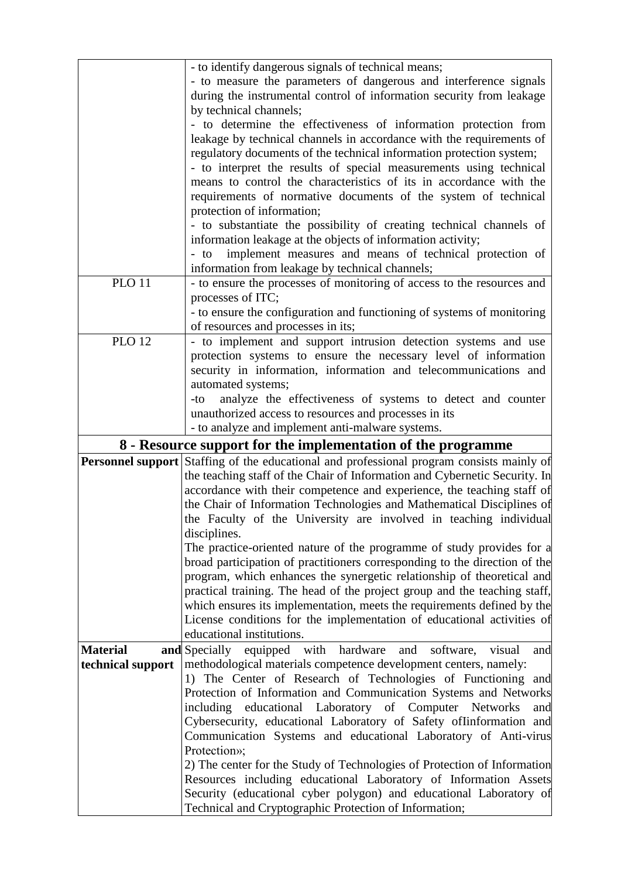|                   | - to identify dangerous signals of technical means;                                                                                       |
|-------------------|-------------------------------------------------------------------------------------------------------------------------------------------|
|                   | - to measure the parameters of dangerous and interference signals<br>during the instrumental control of information security from leakage |
|                   | by technical channels;                                                                                                                    |
|                   | - to determine the effectiveness of information protection from                                                                           |
|                   | leakage by technical channels in accordance with the requirements of                                                                      |
|                   | regulatory documents of the technical information protection system;                                                                      |
|                   | - to interpret the results of special measurements using technical                                                                        |
|                   | means to control the characteristics of its in accordance with the                                                                        |
|                   | requirements of normative documents of the system of technical                                                                            |
|                   | protection of information;                                                                                                                |
|                   | - to substantiate the possibility of creating technical channels of                                                                       |
|                   | information leakage at the objects of information activity;                                                                               |
|                   | implement measures and means of technical protection of<br>$-$ to                                                                         |
|                   | information from leakage by technical channels;                                                                                           |
| <b>PLO 11</b>     | - to ensure the processes of monitoring of access to the resources and                                                                    |
|                   | processes of ITC;                                                                                                                         |
|                   | - to ensure the configuration and functioning of systems of monitoring<br>of resources and processes in its;                              |
| <b>PLO 12</b>     | - to implement and support intrusion detection systems and use                                                                            |
|                   | protection systems to ensure the necessary level of information                                                                           |
|                   | security in information, information and telecommunications and                                                                           |
|                   | automated systems;                                                                                                                        |
|                   | analyze the effectiveness of systems to detect and counter<br>-to                                                                         |
|                   | unauthorized access to resources and processes in its                                                                                     |
|                   | - to analyze and implement anti-malware systems.                                                                                          |
|                   |                                                                                                                                           |
|                   | 8 - Resource support for the implementation of the programme                                                                              |
|                   | Personnel support Staffing of the educational and professional program consists mainly of                                                 |
|                   | the teaching staff of the Chair of Information and Cybernetic Security. In                                                                |
|                   | accordance with their competence and experience, the teaching staff of                                                                    |
|                   | the Chair of Information Technologies and Mathematical Disciplines of                                                                     |
|                   | the Faculty of the University are involved in teaching individual                                                                         |
|                   | disciplines.                                                                                                                              |
|                   | The practice-oriented nature of the programme of study provides for a                                                                     |
|                   | broad participation of practitioners corresponding to the direction of the                                                                |
|                   | program, which enhances the synergetic relationship of theoretical and                                                                    |
|                   | practical training. The head of the project group and the teaching staff,                                                                 |
|                   | which ensures its implementation, meets the requirements defined by the                                                                   |
|                   | License conditions for the implementation of educational activities of                                                                    |
| <b>Material</b>   | educational institutions.<br>visual<br>and                                                                                                |
| technical support | and Specially equipped with hardware and software,<br>methodological materials competence development centers, namely:                    |
|                   | 1) The Center of Research of Technologies of Functioning and                                                                              |
|                   | Protection of Information and Communication Systems and Networks                                                                          |
|                   | including educational Laboratory of Computer Networks<br>and                                                                              |
|                   | Cybersecurity, educational Laboratory of Safety of Iinformation and                                                                       |
|                   | Communication Systems and educational Laboratory of Anti-virus                                                                            |
|                   | Protection»;                                                                                                                              |
|                   | 2) The center for the Study of Technologies of Protection of Information                                                                  |
|                   | Resources including educational Laboratory of Information Assets                                                                          |
|                   | Security (educational cyber polygon) and educational Laboratory of<br>Technical and Cryptographic Protection of Information;              |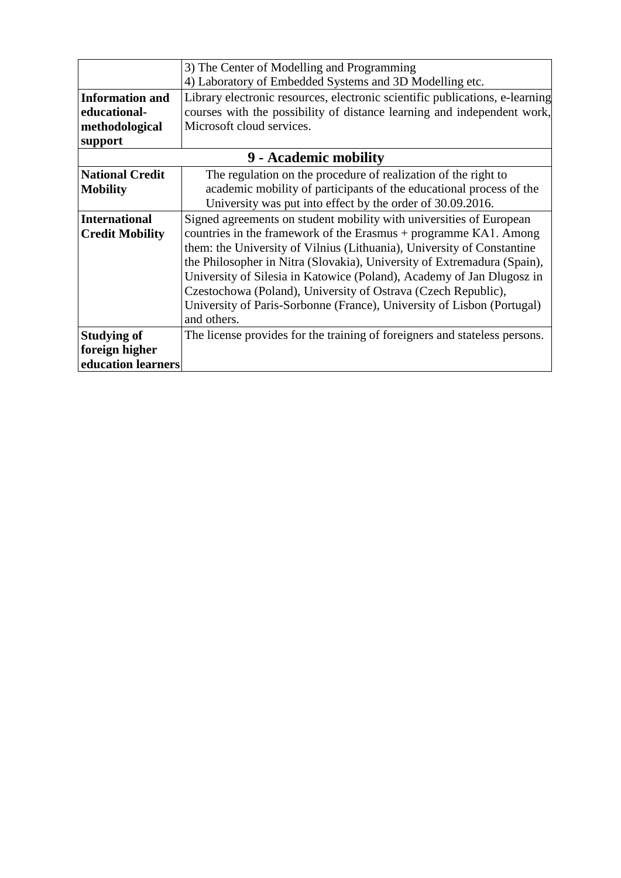|                        | 3) The Center of Modelling and Programming                                   |  |  |  |  |  |  |
|------------------------|------------------------------------------------------------------------------|--|--|--|--|--|--|
|                        | 4) Laboratory of Embedded Systems and 3D Modelling etc.                      |  |  |  |  |  |  |
| <b>Information and</b> | Library electronic resources, electronic scientific publications, e-learning |  |  |  |  |  |  |
| educational-           | courses with the possibility of distance learning and independent work,      |  |  |  |  |  |  |
| methodological         | Microsoft cloud services.                                                    |  |  |  |  |  |  |
| support                |                                                                              |  |  |  |  |  |  |
|                        | 9 - Academic mobility                                                        |  |  |  |  |  |  |
| <b>National Credit</b> | The regulation on the procedure of realization of the right to               |  |  |  |  |  |  |
| <b>Mobility</b>        | academic mobility of participants of the educational process of the          |  |  |  |  |  |  |
|                        | University was put into effect by the order of 30.09.2016.                   |  |  |  |  |  |  |
| <b>International</b>   | Signed agreements on student mobility with universities of European          |  |  |  |  |  |  |
| <b>Credit Mobility</b> | countries in the framework of the Erasmus + programme KA1. Among             |  |  |  |  |  |  |
|                        | them: the University of Vilnius (Lithuania), University of Constantine       |  |  |  |  |  |  |
|                        | the Philosopher in Nitra (Slovakia), University of Extremadura (Spain),      |  |  |  |  |  |  |
|                        | University of Silesia in Katowice (Poland), Academy of Jan Dlugosz in        |  |  |  |  |  |  |
|                        | Czestochowa (Poland), University of Ostrava (Czech Republic),                |  |  |  |  |  |  |
|                        | University of Paris-Sorbonne (France), University of Lisbon (Portugal)       |  |  |  |  |  |  |
|                        | and others.                                                                  |  |  |  |  |  |  |
| <b>Studying of</b>     | The license provides for the training of foreigners and stateless persons.   |  |  |  |  |  |  |
| foreign higher         |                                                                              |  |  |  |  |  |  |
| education learners     |                                                                              |  |  |  |  |  |  |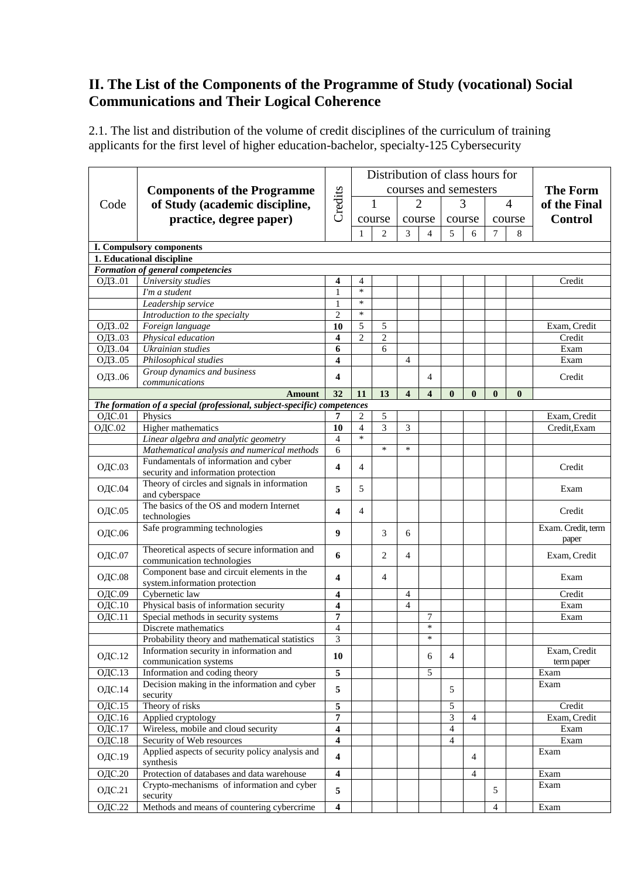# **ІІ. The List of the Components of the Programme of Study (vocational) Social Communications and Their Logical Coherence**

2.1. The list and distribution of the volume of credit disciplines of the curriculum of training applicants for the first level of higher education-bachelor, specialty-125 Cybersecurity

|               |                                                                                           |                         | Distribution of class hours for |                |                         |                          |                             |                |                |                |                    |
|---------------|-------------------------------------------------------------------------------------------|-------------------------|---------------------------------|----------------|-------------------------|--------------------------|-----------------------------|----------------|----------------|----------------|--------------------|
|               | <b>Components of the Programme</b><br>Code                                                |                         | courses and semesters           |                |                         |                          |                             |                |                |                | <b>The Form</b>    |
|               |                                                                                           |                         | 1                               |                | $\overline{2}$          |                          | 3                           |                | $\overline{4}$ |                |                    |
|               | of Study (academic discipline,                                                            |                         | Credits<br>course<br>course     |                |                         |                          |                             |                |                | of the Final   |                    |
|               | practice, degree paper)                                                                   |                         |                                 |                |                         |                          | course                      |                | course         | <b>Control</b> |                    |
|               |                                                                                           |                         | 1                               | $\overline{c}$ | 3                       | $\overline{\mathcal{L}}$ | 5                           | 6              | $\overline{7}$ | 8              |                    |
|               | <b>I. Compulsory components</b>                                                           |                         |                                 |                |                         |                          |                             |                |                |                |                    |
|               | 1. Educational discipline                                                                 |                         |                                 |                |                         |                          |                             |                |                |                |                    |
|               | Formation of general competencies                                                         |                         |                                 |                |                         |                          |                             |                |                |                |                    |
| ОДЗ01         | University studies                                                                        | 4                       | 4                               |                |                         |                          |                             |                |                |                | Credit             |
|               | I'm a student                                                                             | 1                       | $\ast$                          |                |                         |                          |                             |                |                |                |                    |
|               | Leadership service                                                                        | 1                       | $\ast$                          |                |                         |                          |                             |                |                |                |                    |
|               | Introduction to the specialty                                                             | $\overline{2}$          | $\ast$                          |                |                         |                          |                             |                |                |                |                    |
| ОДЗ02         | Foreign language                                                                          | 10                      | 5                               | 5              |                         |                          |                             |                |                |                | Exam, Credit       |
| ОДЗ03         | Physical education                                                                        | $\overline{\mathbf{4}}$ | $\overline{c}$                  | $\overline{c}$ |                         |                          |                             |                |                |                | Credit             |
| ОДЗ04         | Ukrainian studies                                                                         | 6                       |                                 | 6              |                         |                          |                             |                |                |                | Exam               |
| ОДЗ05         | Philosophical studies                                                                     | 4                       |                                 |                | $\overline{4}$          |                          |                             |                |                |                | Exam               |
| ОДЗ06         | Group dynamics and business                                                               | 4                       |                                 |                |                         | 4                        |                             |                |                |                | Credit             |
|               | communications                                                                            |                         | 11                              |                |                         | $\overline{\mathbf{4}}$  |                             |                |                |                |                    |
|               | <b>Amount</b><br>The formation of a special (professional, subject-specific) competences  | 32                      |                                 | 13             | $\overline{\mathbf{4}}$ |                          | $\bf{0}$                    | $\mathbf{0}$   | $\bf{0}$       | $\bf{0}$       |                    |
| ОДС.01        | Physics                                                                                   | 7                       | 2                               | 5              |                         |                          |                             |                |                |                | Exam, Credit       |
| <b>ОДС.02</b> | Higher mathematics                                                                        | 10                      | $\overline{4}$                  | $\overline{3}$ | 3                       |                          |                             |                |                |                | Credit, Exam       |
|               | Linear algebra and analytic geometry                                                      | $\overline{4}$          | $\ast$                          |                |                         |                          |                             |                |                |                |                    |
|               | Mathematical analysis and numerical methods                                               | 6                       |                                 | $\ast$         | $\ast$                  |                          |                             |                |                |                |                    |
|               | Fundamentals of information and cyber                                                     |                         |                                 |                |                         |                          |                             |                |                |                |                    |
| ОДС.03        | security and information protection                                                       | 4                       | $\overline{4}$                  |                |                         |                          |                             |                |                |                | Credit             |
|               | Theory of circles and signals in information                                              |                         |                                 |                |                         |                          |                             |                |                |                |                    |
| ОДС.04        | and cyberspace                                                                            | 5                       | 5                               |                |                         |                          |                             |                |                |                | Exam               |
|               | The basics of the OS and modern Internet                                                  | 4                       |                                 |                |                         |                          |                             |                |                |                |                    |
| ОДС.05        | technologies                                                                              |                         | $\overline{4}$                  |                |                         |                          |                             |                |                |                | Credit             |
| <b>ОДС.06</b> | Safe programming technologies                                                             | 9                       |                                 | 3              | 6                       |                          |                             |                |                |                | Exam. Credit, term |
|               |                                                                                           |                         |                                 |                |                         |                          |                             |                |                |                | paper              |
| <b>ОДС.07</b> | Theoretical aspects of secure information and                                             | 6                       |                                 | $\overline{c}$ | 4                       |                          |                             |                |                |                | Exam, Credit       |
|               | communication technologies                                                                |                         |                                 |                |                         |                          |                             |                |                |                |                    |
| <b>ОДС.08</b> | Component base and circuit elements in the                                                | 4                       |                                 | 4              |                         |                          |                             |                |                |                | Exam               |
|               | system.information protection                                                             |                         |                                 |                |                         |                          |                             |                |                |                |                    |
| ОДС.09        | Cybernetic law                                                                            | 4                       |                                 |                | 4                       |                          |                             |                |                |                | Credit             |
| ОДС.10        | Physical basis of information security                                                    | 4                       |                                 |                | $\overline{4}$          |                          |                             |                |                |                | Exam               |
| ОДС.11        | Special methods in security systems                                                       | 7                       |                                 |                |                         | 7<br>$\ast$              |                             |                |                |                | Exam               |
|               | Discrete mathematics                                                                      | $\overline{4}$          |                                 |                |                         | $\ast$                   |                             |                |                |                |                    |
|               | Probability theory and mathematical statistics<br>Information security in information and | 3                       |                                 |                |                         |                          |                             |                |                |                | Exam, Credit       |
| ОДС.12        | communication systems                                                                     | 10                      |                                 |                |                         | 6                        | $\overline{4}$              |                |                |                | term paper         |
| ОДС.13        | Information and coding theory                                                             | $\overline{5}$          |                                 |                |                         | 5                        |                             |                |                |                | Exam               |
|               | Decision making in the information and cyber                                              |                         |                                 |                |                         |                          |                             |                |                |                | Exam               |
| ОДС.14        | security                                                                                  | 5                       |                                 |                |                         |                          | 5                           |                |                |                |                    |
| ОДС.15        | Theory of risks                                                                           | $\overline{5}$          |                                 |                |                         |                          | $\sqrt{5}$                  |                |                |                | Credit             |
| ОДС.16        | Applied cryptology                                                                        | 7                       |                                 |                |                         |                          | $\ensuremath{\mathfrak{Z}}$ | 4              |                |                | Exam, Credit       |
| ОДС.17        | Wireless, mobile and cloud security                                                       | $\overline{\mathbf{4}}$ |                                 |                |                         |                          | $\overline{4}$              |                |                |                | Exam               |
| <b>ОДС.18</b> | Security of Web resources                                                                 | $\overline{\mathbf{4}}$ |                                 |                |                         |                          | $\overline{4}$              |                |                |                | Exam               |
|               | Applied aspects of security policy analysis and                                           |                         |                                 |                |                         |                          |                             |                |                |                | Exam               |
| ОДС.19        | synthesis                                                                                 | $\overline{\mathbf{4}}$ |                                 |                |                         |                          |                             | $\overline{4}$ |                |                |                    |
| <b>ОДС.20</b> | Protection of databases and data warehouse                                                | 4                       |                                 |                |                         |                          |                             | 4              |                |                | Exam               |
|               | Crypto-mechanisms of information and cyber                                                |                         |                                 |                |                         |                          |                             |                |                |                | Exam               |
| ОДС.21        | security                                                                                  | 5                       |                                 |                |                         |                          |                             |                | 5              |                |                    |
| <b>ОДС.22</b> | Methods and means of countering cybercrime                                                | $\overline{\mathbf{4}}$ |                                 |                |                         |                          |                             |                | $\overline{4}$ |                | Exam               |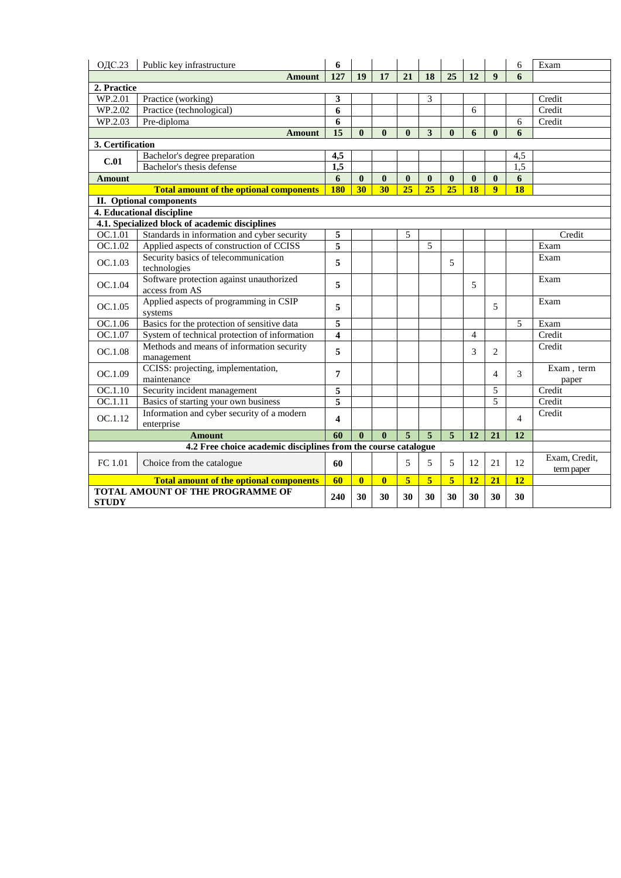| <b>ОДС.23</b>    | Public key infrastructure                                      | 6                       |              |              |                 |              |                 |                |                  | 6              | Exam                        |
|------------------|----------------------------------------------------------------|-------------------------|--------------|--------------|-----------------|--------------|-----------------|----------------|------------------|----------------|-----------------------------|
|                  | Amount                                                         | 127                     | 19           | 17           | 21              | 18           | 25              | 12             | $\boldsymbol{9}$ | 6              |                             |
| 2. Practice      |                                                                |                         |              |              |                 |              |                 |                |                  |                |                             |
| WP.2.01          | Practice (working)                                             | 3                       |              |              |                 | 3            |                 |                |                  |                | Credit                      |
| WP.2.02          | Practice (technological)                                       | 6                       |              |              |                 |              |                 | 6              |                  |                | Credit                      |
| WP.2.03          | Pre-diploma                                                    | 6                       |              |              |                 |              |                 |                |                  | 6              | Credit                      |
|                  | Amount                                                         | $\overline{15}$         | $\mathbf{0}$ | $\mathbf{0}$ | $\mathbf{0}$    | 3            | $\bf{0}$        | 6              | $\mathbf{0}$     | 6              |                             |
| 3. Certification |                                                                |                         |              |              |                 |              |                 |                |                  |                |                             |
| C.01             | Bachelor's degree preparation                                  | 4,5                     |              |              |                 |              |                 |                |                  | 4,5            |                             |
|                  | Bachelor's thesis defense                                      | 1,5                     |              |              |                 |              |                 |                |                  | 1,5            |                             |
| <b>Amount</b>    |                                                                | $\overline{6}$          | $\bf{0}$     | $\bf{0}$     | $\mathbf{0}$    | $\mathbf{0}$ | $\bf{0}$        | $\mathbf{0}$   | $\mathbf{0}$     | 6              |                             |
|                  | <b>Total amount of the optional components</b>                 | <b>180</b>              | 30           | 30           | $\overline{25}$ | 25           | $\overline{25}$ | 18             | $\overline{9}$   | 18             |                             |
|                  | II. Optional components                                        |                         |              |              |                 |              |                 |                |                  |                |                             |
|                  | 4. Educational discipline                                      |                         |              |              |                 |              |                 |                |                  |                |                             |
|                  | 4.1. Specialized block of academic disciplines                 |                         |              |              |                 |              |                 |                |                  |                |                             |
| OC.1.01          | Standards in information and cyber security                    | 5                       |              |              | 5               |              |                 |                |                  |                | Credit                      |
| OC.1.02          | Applied aspects of construction of CCISS                       | 5                       |              |              |                 | 5            |                 |                |                  |                | Exam                        |
| OC.1.03          | Security basics of telecommunication<br>technologies           | 5                       |              |              |                 |              | 5               |                |                  |                | Exam                        |
| OC.1.04          | Software protection against unauthorized<br>access from AS     | 5                       |              |              |                 |              |                 | 5              |                  |                | Exam                        |
| OC.1.05          | Applied aspects of programming in CSIP<br>systems              | 5                       |              |              |                 |              |                 |                | 5                |                | Exam                        |
| OC.1.06          | Basics for the protection of sensitive data                    | 5                       |              |              |                 |              |                 |                |                  | 5              | Exam                        |
| OC.1.07          | System of technical protection of information                  | $\overline{\mathbf{4}}$ |              |              |                 |              |                 | $\overline{4}$ |                  |                | Credit                      |
| OC.1.08          | Methods and means of information security<br>management        | 5                       |              |              |                 |              |                 | 3              | 2                |                | Credit                      |
| OC.1.09          | CCISS: projecting, implementation,<br>maintenance              | 7                       |              |              |                 |              |                 |                | 4                | 3              | Exam, term<br>paper         |
| OC.1.10          | Security incident management                                   | 5                       |              |              |                 |              |                 |                | 5                |                | Credit                      |
| OC.1.11          | Basics of starting your own business                           | 5                       |              |              |                 |              |                 |                | 5                |                | Credit                      |
| OC.1.12          | Information and cyber security of a modern<br>enterprise       | $\overline{\mathbf{4}}$ |              |              |                 |              |                 |                |                  | $\overline{4}$ | Credit                      |
|                  | <b>Amount</b>                                                  | 60                      | $\mathbf{0}$ | $\mathbf{0}$ | $\overline{5}$  | 5            | 5               | 12             | 21               | 12             |                             |
|                  | 4.2 Free choice academic disciplines from the course catalogue |                         |              |              |                 |              |                 |                |                  |                |                             |
| FC 1.01          | Choice from the catalogue                                      | 60                      |              |              | 5               | 5            | 5               | 12             | 21               | 12             | Exam, Credit,<br>term paper |
|                  | <b>Total amount of the optional components</b>                 | 60                      | $\mathbf{0}$ | $\bf{0}$     | 5 <sup>5</sup>  | 5            | $\overline{5}$  | 12             | 21               | 12             |                             |
| <b>STUDY</b>     | <b>TOTAL AMOUNT OF THE PROGRAMME OF</b>                        | 240                     | 30           | 30           | 30              | 30           | 30              | 30             | 30               | 30             |                             |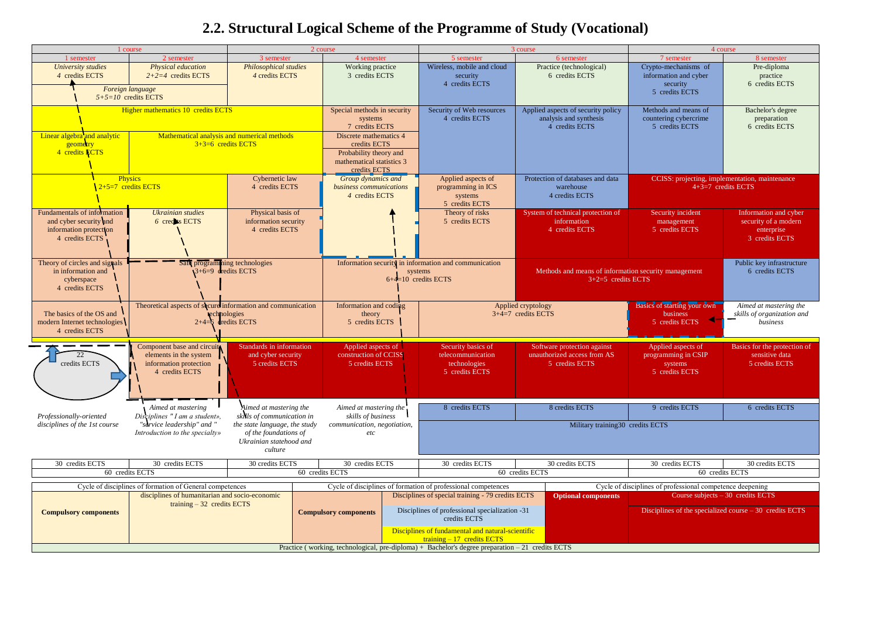# **2.2. Structural Logical Scheme of the Programme of Study (Vocational)**

|                                                                                                   | 1 course                                                                                         |                                                                                              | 2 course                                                                                                      |  |                                                                                                     | 3 course                                                                       |                                                                                                | 4 course                                                                      |  |  |
|---------------------------------------------------------------------------------------------------|--------------------------------------------------------------------------------------------------|----------------------------------------------------------------------------------------------|---------------------------------------------------------------------------------------------------------------|--|-----------------------------------------------------------------------------------------------------|--------------------------------------------------------------------------------|------------------------------------------------------------------------------------------------|-------------------------------------------------------------------------------|--|--|
| 1 semester                                                                                        | 2 semester                                                                                       | 3 semester                                                                                   | 4 semester                                                                                                    |  | 5 semester                                                                                          | 6 semester                                                                     | 7 semester                                                                                     | 8 semester                                                                    |  |  |
| University studies<br>4 credits ECTS                                                              | Physical education<br>$2+2=4$ credits ECTS<br>Foreign language<br>$5+5=10$ credits ECTS          | <b>Philosophical studies</b><br>4 credits ECTS                                               | Working practice<br>3 credits ECTS                                                                            |  | Wireless, mobile and cloud<br>security<br>4 credits ECTS                                            | Practice (technological)<br>6 credits ECTS                                     | Crypto-mechanisms of<br>information and cyber<br>security<br>5 credits ECTS                    | Pre-diploma<br>practice<br>6 credits ECTS                                     |  |  |
|                                                                                                   | Higher mathematics 10 credits ECTS                                                               |                                                                                              | Special methods in security<br>systems<br>7 credits ECTS                                                      |  | Security of Web resources<br>4 credits ECTS                                                         | Applied aspects of security policy<br>analysis and synthesis<br>4 credits ECTS | Methods and means of<br>countering cybercrime<br>5 credits ECTS                                | Bachelor's degree<br>preparation<br>6 credits ECTS                            |  |  |
| Linear algebra and analytic<br>geometry<br>4 credits ECTS                                         | Mathematical analysis and numerical methods<br>$3+3=6$ credits ECTS                              |                                                                                              | Discrete mathematics 4<br>credits ECTS<br>Probability theory and<br>mathematical statistics 3<br>credits ECTS |  |                                                                                                     |                                                                                |                                                                                                |                                                                               |  |  |
|                                                                                                   | <b>Physics</b><br>$2+5=7$ credits ECTS                                                           | Cybernetic law<br>4 credits ECTS                                                             | Group dynamics and<br>business communications<br>4 credits ECTS                                               |  | Applied aspects of<br>programming in ICS<br>systems<br>5 credits ECTS                               | Protection of databases and data<br>warehouse<br>4 credits ECTS                |                                                                                                | CCISS: projecting, implementation, maintenance<br>$4+3=7$ credits ECTS        |  |  |
| Fundamentals of information<br>and cyber security and<br>information protection<br>4 credits ECTS | <b>Ukrainian studies</b><br>6 credits ECTS                                                       | Physical basis of<br>information security<br>4 credits ECTS                                  |                                                                                                               |  | Theory of risks<br>5 credits ECTS                                                                   | System of technical protection of<br>information<br>4 credits ECTS             | Security incident<br>management<br>5 credits ECTS                                              | Information and cyber<br>security of a modern<br>enterprise<br>3 credits ECTS |  |  |
| Theory of circles and signals<br>in information and<br>cyberspace<br>4 credits ECTS               | Safe programming technologies<br>$3+6=9$ dredits ECTS                                            |                                                                                              |                                                                                                               |  | Information security in information and communication<br>systems<br>$6+4=10$ credits ECTS           | Methods and means of information security management<br>$3+2=5$ credits ECTS   |                                                                                                | Public key infrastructure<br>6 credits ECTS                                   |  |  |
| The basics of the OS and<br>modern Internet technologies<br>4 credits ECTS                        | Theoretical aspects of secure information and communication<br>$2+4=6$ dredits ECTS              | echnologies                                                                                  | Information and coding<br>theory<br>5 credits ECTS                                                            |  |                                                                                                     | Applied cryptology<br>$3+4=7$ credits ECTS                                     | Aimed at mastering the<br>skills of organization and<br>business                               |                                                                               |  |  |
| 22<br>credits ECTS                                                                                | Component base and circuit<br>elements in the system<br>information protection<br>4 credits ECTS | Standards in information<br>and cyber security<br>5 credits ECTS                             | Applied aspects of<br>construction of CCISS<br>5 credits ECTS                                                 |  | Security basics of<br>telecommunication<br>technologies<br>5 credits ECTS                           | Software protection against<br>unauthorized access from AS<br>5 credits ECTS   | Applied aspects of<br>programming in CSIP<br>systems<br>5 credits ECTS                         | Basics for the protection of<br>sensitive data<br>5 credits ECTS              |  |  |
| Professionally-oriented                                                                           | Aimed at mastering<br>Disciplines " I am a student»,                                             | Aimed at mastering the<br>skills of communication in                                         | Aimed at mastering the<br>skills of business                                                                  |  | 8 credits ECTS                                                                                      | 8 credits ECTS                                                                 | 9 credits ECTS                                                                                 | 6 credits ECTS                                                                |  |  |
| disciplines of the 1st course                                                                     | "service leadership" and "<br>Introduction to the specialty»                                     | the state language, the study<br>of the foundations of<br>Ukrainian statehood and<br>culture | communication, negotiation,<br>$\it etc$                                                                      |  |                                                                                                     | Military training30 credits ECTS                                               |                                                                                                |                                                                               |  |  |
| 30 credits ECTS                                                                                   | 30 credits ECTS                                                                                  | 30 credits ECTS                                                                              | 30 credits ECTS                                                                                               |  | 30 credits ECTS                                                                                     | 30 credits ECTS                                                                | 30 credits ECTS                                                                                | 30 credits ECTS                                                               |  |  |
|                                                                                                   | 60 credits ECTS                                                                                  |                                                                                              | 60 credits ECTS                                                                                               |  |                                                                                                     | 60 credits ECTS                                                                |                                                                                                | 60 credits ECTS                                                               |  |  |
|                                                                                                   | Cycle of disciplines of formation of General competences                                         |                                                                                              |                                                                                                               |  | Cycle of disciplines of formation of professional competences                                       |                                                                                | Cycle of disciplines of professional competence deepening                                      |                                                                               |  |  |
|                                                                                                   | disciplines of humanitarian and socio-economic<br>training $-32$ credits ECTS                    |                                                                                              |                                                                                                               |  | Disciplines of special training - 79 credits ECTS<br>Disciplines of professional specialization -31 | <b>Optional components</b>                                                     | Course subjects $-30$ credits ECTS<br>Disciplines of the specialized course $-30$ credits ECTS |                                                                               |  |  |
| <b>Compulsory components</b>                                                                      |                                                                                                  |                                                                                              | <b>Compulsory components</b>                                                                                  |  | credits ECTS<br>Disciplines of fundamental and natural-scientific<br>$training - 17$ credits ECTS   |                                                                                |                                                                                                |                                                                               |  |  |
|                                                                                                   |                                                                                                  |                                                                                              |                                                                                                               |  | Practice (working, technological, pre-diploma) + Bachelor's degree preparation $-21$ credits ECTS   |                                                                                |                                                                                                |                                                                               |  |  |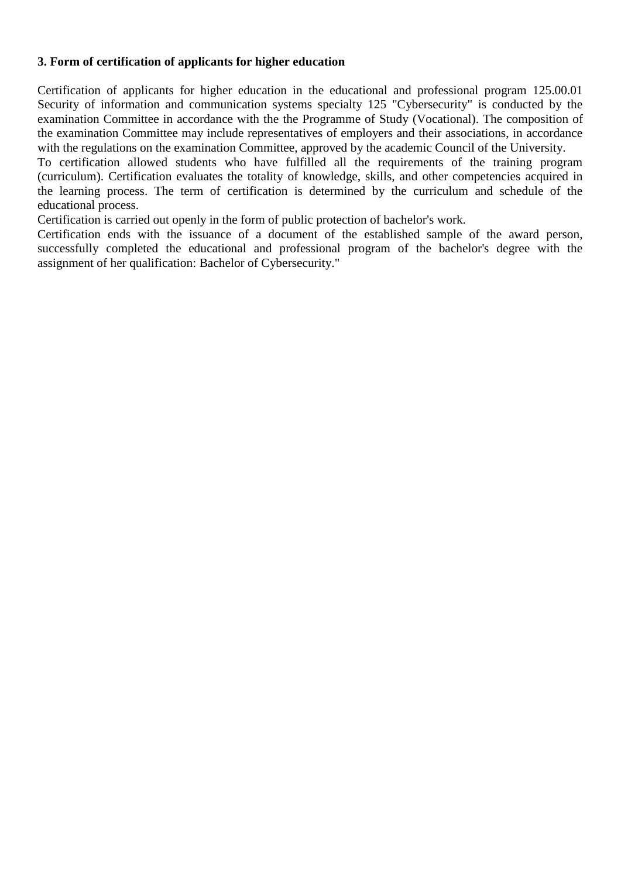#### **3. Form of certification of applicants for higher education**

Certification of applicants for higher education in the educational and professional program 125.00.01 Security of information and communication systems specialty 125 "Cybersecurity" is conducted by the examination Committee in accordance with the the Programme of Study (Vocational). The composition of the examination Committee may include representatives of employers and their associations, in accordance with the regulations on the examination Committee, approved by the academic Council of the University.

To certification allowed students who have fulfilled all the requirements of the training program (curriculum). Certification evaluates the totality of knowledge, skills, and other competencies acquired in the learning process. The term of certification is determined by the curriculum and schedule of the educational process.

Certification is carried out openly in the form of public protection of bachelor's work.

Certification ends with the issuance of a document of the established sample of the award person, successfully completed the educational and professional program of the bachelor's degree with the assignment of her qualification: Bachelor of Cybersecurity."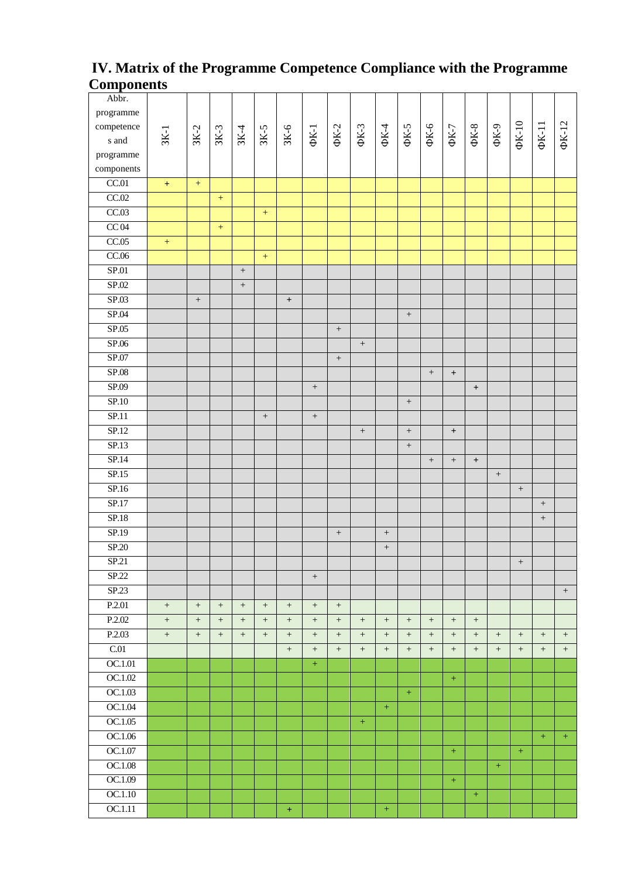### **ІV. Matrix of the Programme Competence Compliance with the Programme Components**

| Abbr.                      |        |                  |                  |                   |                   |                 |                  |                   |                   |                  |                   |                    |                   |                                  |                    |                   |                  |                   |
|----------------------------|--------|------------------|------------------|-------------------|-------------------|-----------------|------------------|-------------------|-------------------|------------------|-------------------|--------------------|-------------------|----------------------------------|--------------------|-------------------|------------------|-------------------|
| programme                  |        |                  |                  |                   |                   |                 |                  |                   |                   |                  |                   |                    |                   |                                  |                    |                   |                  |                   |
| competence                 |        |                  |                  |                   |                   |                 |                  |                   |                   |                  |                   |                    |                   |                                  |                    |                   |                  |                   |
| s and                      | $3K-1$ | $3K-2$           | $3K-3$           | $3K-4$            | $3K-5$            | $3K-6$          | $\Phi$ K-1       | $\Phi$ K-2        | ФК-3              | $\Phi$ X4        | ФК-5              | $\Phi$ - $\lambda$ | $\Phi K$ -7       | $\Phi$ K-8                       | $\Phi$ - $\lambda$ | $\Phi$ K-10       | $\Phi$ K-11      | $\Phi$ K-12       |
| $\operatorname{programme}$ |        |                  |                  |                   |                   |                 |                  |                   |                   |                  |                   |                    |                   |                                  |                    |                   |                  |                   |
| components                 |        |                  |                  |                   |                   |                 |                  |                   |                   |                  |                   |                    |                   |                                  |                    |                   |                  |                   |
| CC.01                      | $\pm$  | $\pm$            |                  |                   |                   |                 |                  |                   |                   |                  |                   |                    |                   |                                  |                    |                   |                  |                   |
| CC.02                      |        |                  | $\pm$            |                   |                   |                 |                  |                   |                   |                  |                   |                    |                   |                                  |                    |                   |                  |                   |
| CC.03                      |        |                  |                  |                   | $\, +$            |                 |                  |                   |                   |                  |                   |                    |                   |                                  |                    |                   |                  |                   |
| CC04                       |        |                  | $\pm$            |                   |                   |                 |                  |                   |                   |                  |                   |                    |                   |                                  |                    |                   |                  |                   |
| CC.05                      | $\pm$  |                  |                  |                   |                   |                 |                  |                   |                   |                  |                   |                    |                   |                                  |                    |                   |                  |                   |
| CC.06                      |        |                  |                  |                   | $+$               |                 |                  |                   |                   |                  |                   |                    |                   |                                  |                    |                   |                  |                   |
| SP.01                      |        |                  |                  | $^+$              |                   |                 |                  |                   |                   |                  |                   |                    |                   |                                  |                    |                   |                  |                   |
| SP.02                      |        |                  |                  | $^+$              |                   |                 |                  |                   |                   |                  |                   |                    |                   |                                  |                    |                   |                  |                   |
| SP.03                      |        | $\boldsymbol{+}$ |                  |                   |                   | $^{\mathrm{+}}$ |                  |                   |                   |                  |                   |                    |                   |                                  |                    |                   |                  |                   |
| SP.04                      |        |                  |                  |                   |                   |                 |                  |                   |                   |                  | $^+$              |                    |                   |                                  |                    |                   |                  |                   |
| SP.05                      |        |                  |                  |                   |                   |                 |                  | $^+$              |                   |                  |                   |                    |                   |                                  |                    |                   |                  |                   |
| SP.06                      |        |                  |                  |                   |                   |                 |                  |                   | $^+$              |                  |                   |                    |                   |                                  |                    |                   |                  |                   |
| SP.07                      |        |                  |                  |                   |                   |                 |                  | $\boldsymbol{+}$  |                   |                  |                   |                    |                   |                                  |                    |                   |                  |                   |
| SP.08                      |        |                  |                  |                   |                   |                 |                  |                   |                   |                  |                   | $^+$               | $\qquad \qquad +$ |                                  |                    |                   |                  |                   |
| SP.09                      |        |                  |                  |                   |                   |                 | $\boldsymbol{+}$ |                   |                   |                  |                   |                    |                   | $^{\mathrm{+}}$                  |                    |                   |                  |                   |
| SP.10                      |        |                  |                  |                   |                   |                 |                  |                   |                   |                  | $\boldsymbol{+}$  |                    |                   |                                  |                    |                   |                  |                   |
| SP.11                      |        |                  |                  |                   | $^+$              |                 | $\boldsymbol{+}$ |                   |                   |                  |                   |                    |                   |                                  |                    |                   |                  |                   |
| SP.12                      |        |                  |                  |                   |                   |                 |                  |                   | $\boldsymbol{+}$  |                  | $^+$              |                    | $^{\mathrm{+}}$   |                                  |                    |                   |                  |                   |
| SP.13                      |        |                  |                  |                   |                   |                 |                  |                   |                   |                  | $^+$              |                    |                   |                                  |                    |                   |                  |                   |
| SP.14                      |        |                  |                  |                   |                   |                 |                  |                   |                   |                  |                   | $\boldsymbol{+}$   | $^+$              | $\begin{array}{c} + \end{array}$ |                    |                   |                  |                   |
| SP.15                      |        |                  |                  |                   |                   |                 |                  |                   |                   |                  |                   |                    |                   |                                  | $\boldsymbol{+}$   |                   |                  |                   |
| SP.16                      |        |                  |                  |                   |                   |                 |                  |                   |                   |                  |                   |                    |                   |                                  |                    | $\, +$            |                  |                   |
| SP.17                      |        |                  |                  |                   |                   |                 |                  |                   |                   |                  |                   |                    |                   |                                  |                    |                   | $\boldsymbol{+}$ |                   |
| SP.18                      |        |                  |                  |                   |                   |                 |                  |                   |                   |                  |                   |                    |                   |                                  |                    |                   | $^+ \,$          |                   |
| SP.19                      |        |                  |                  |                   |                   |                 |                  | $\boldsymbol{+}$  |                   | $\, +$           |                   |                    |                   |                                  |                    |                   |                  |                   |
| SP.20                      |        |                  |                  |                   |                   |                 |                  |                   |                   | $^+$             |                   |                    |                   |                                  |                    |                   |                  |                   |
| SP.21                      |        |                  |                  |                   |                   |                 |                  |                   |                   |                  |                   |                    |                   |                                  |                    | $^{+}$            |                  |                   |
| SP.22                      |        |                  |                  |                   |                   |                 | $\boldsymbol{+}$ |                   |                   |                  |                   |                    |                   |                                  |                    |                   |                  |                   |
| SP.23                      |        |                  |                  |                   |                   |                 |                  |                   |                   |                  |                   |                    |                   |                                  |                    |                   |                  | $+$               |
| P.2.01                     | $^+$   |                  | $^+$             | $\qquad \qquad +$ | $\! + \!\!\!\!$   | $\! + \!\!\!\!$ | $^+$             | $\qquad \qquad +$ |                   |                  |                   |                    |                   |                                  |                    |                   |                  |                   |
| P.2.02                     | $^+$   | $\boldsymbol{+}$ | $+$              | $+$               |                   | $+$             | $\boldsymbol{+}$ | $\boldsymbol{+}$  | $\qquad \qquad +$ |                  | $\boldsymbol{+}$  | $\qquad \qquad +$  | $+$               | $\boldsymbol{+}$                 |                    |                   |                  |                   |
| P.2.03                     | $^+$   | $^+$             | $\boldsymbol{+}$ | $^+$              | $\qquad \qquad +$ | $+$             | $^+$             | $^+$              | $^+$              | $^{+}$           | $^+$              | $^+$               | $^+$              | $^{+}$                           | $\qquad \qquad +$  | $\qquad \qquad +$ | $^{+}$           | $\qquad \qquad +$ |
| C.01                       |        |                  |                  |                   |                   | $^+$            | $^+$             | $^+$              | $^{+}$            | $\! +$           | $\qquad \qquad +$ | $+$                | $+$               | $^{+}$                           | $\qquad \qquad +$  | $\qquad \qquad +$ | $^{+}$           | $+$               |
| OC.1.01                    |        |                  |                  |                   |                   |                 | $+$              |                   |                   |                  |                   |                    |                   |                                  |                    |                   |                  |                   |
| OC.1.02                    |        |                  |                  |                   |                   |                 |                  |                   |                   |                  |                   |                    | $+$               |                                  |                    |                   |                  |                   |
| OC.1.03                    |        |                  |                  |                   |                   |                 |                  |                   |                   |                  | $+$               |                    |                   |                                  |                    |                   |                  |                   |
| OC.1.04                    |        |                  |                  |                   |                   |                 |                  |                   |                   | $\pm$            |                   |                    |                   |                                  |                    |                   |                  |                   |
| OC.1.05                    |        |                  |                  |                   |                   |                 |                  |                   | $\pm$             |                  |                   |                    |                   |                                  |                    |                   |                  |                   |
| OC.1.06                    |        |                  |                  |                   |                   |                 |                  |                   |                   |                  |                   |                    |                   |                                  |                    |                   | $+$              | $+$               |
| OC.1.07                    |        |                  |                  |                   |                   |                 |                  |                   |                   |                  |                   |                    | $\pm$             |                                  |                    | $\pm$             |                  |                   |
| OC.1.08                    |        |                  |                  |                   |                   |                 |                  |                   |                   |                  |                   |                    |                   |                                  | $+$                |                   |                  |                   |
| OC.1.09                    |        |                  |                  |                   |                   |                 |                  |                   |                   |                  |                   |                    | $\pm$             |                                  |                    |                   |                  |                   |
| OC.1.10                    |        |                  |                  |                   |                   |                 |                  |                   |                   |                  |                   |                    |                   | $\pm$                            |                    |                   |                  |                   |
| OC.1.11                    |        |                  |                  |                   |                   | $\pm$           |                  |                   |                   | $\boldsymbol{+}$ |                   |                    |                   |                                  |                    |                   |                  |                   |
|                            |        |                  |                  |                   |                   |                 |                  |                   |                   |                  |                   |                    |                   |                                  |                    |                   |                  |                   |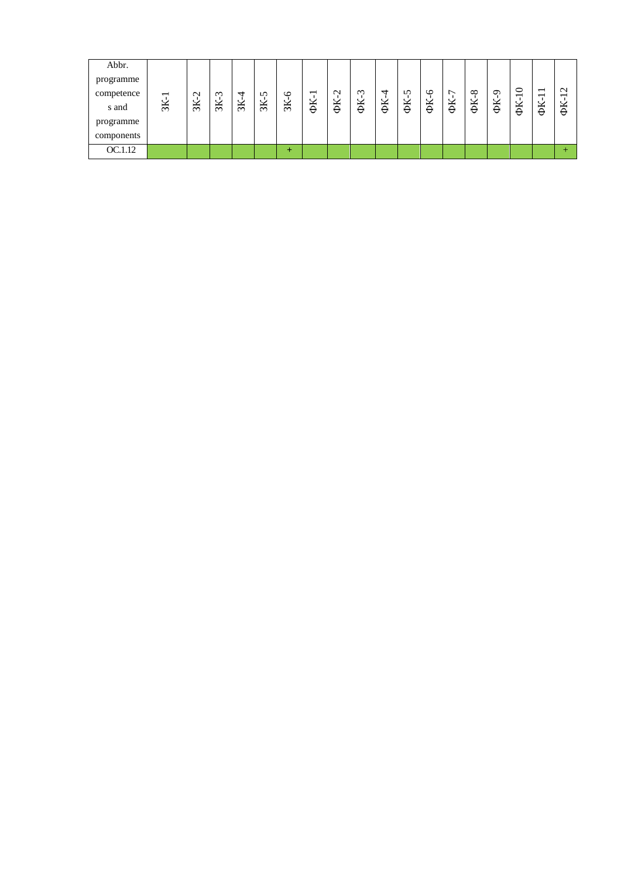| Abbr.      |                          |               |                |               |               |               |    |                 |          |    |    |         |    |          |         |                                     |                                                      |        |
|------------|--------------------------|---------------|----------------|---------------|---------------|---------------|----|-----------------|----------|----|----|---------|----|----------|---------|-------------------------------------|------------------------------------------------------|--------|
| programme  |                          |               |                |               |               |               |    |                 |          |    |    |         |    |          |         |                                     |                                                      |        |
| competence | $\overline{\phantom{0}}$ | $\sim$        | $\mathfrak{m}$ | ↤             | <b>S</b>      | $\circ$       | −  | $\mathbf{\sim}$ | $\omega$ | ᆉ  | n  | $\circ$ | ∼  | $\infty$ | $\circ$ | $\circ$<br>$\overline{\phantom{0}}$ | $\overline{\phantom{0}}$<br>$\overline{\phantom{0}}$ | $\sim$ |
| s and      | $\mathbb{R}$             | $\frac{8}{3}$ | $\frac{8}{2}$  | $\frac{8}{2}$ | $\frac{8}{2}$ | $\frac{8}{2}$ | ΦK | ΦК              | ΦK       | ΦK | ΦK | ΦK      | ΦK | ΦK       | ΦK      | ΦK                                  | ΦK                                                   | ΦK     |
| programme  |                          |               |                |               |               |               |    |                 |          |    |    |         |    |          |         |                                     |                                                      |        |
| components |                          |               |                |               |               |               |    |                 |          |    |    |         |    |          |         |                                     |                                                      |        |
| OC.1.12    |                          |               |                |               |               | ÷             |    |                 |          |    |    |         |    |          |         |                                     |                                                      |        |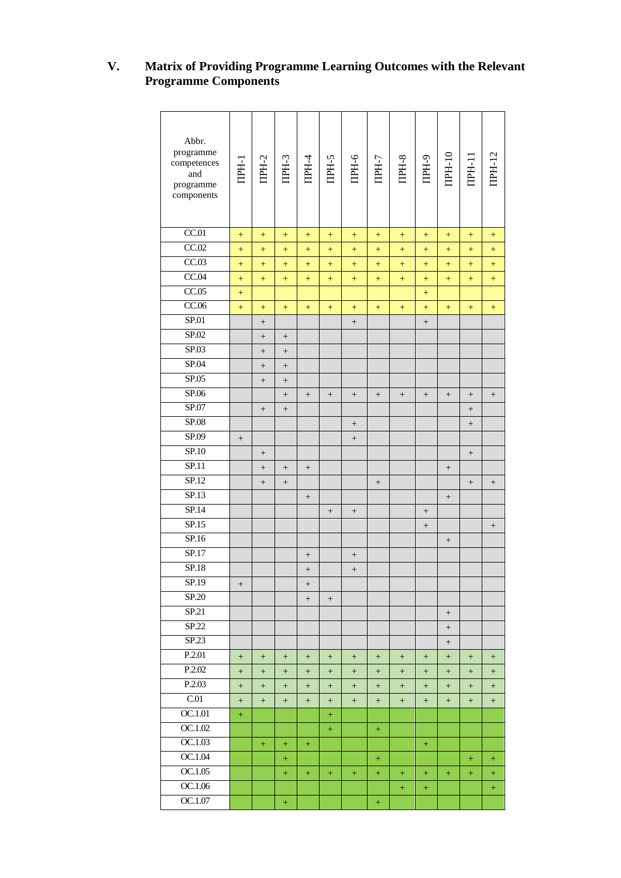#### **V. Matrix of Providing Programme Learning Outcomes with the Relevant Programme Components**

| Abbr.<br>programme<br>competences<br>and<br>programme<br>components | <b>TEEF</b>     | IIPH-2          | ITPH-3            | IIPH-4                           | TIPH-5                           | $IDH-6$                          | TPH-7  | IIPH-8            | ITPH-9                           | $IPH-10$                         | IPH-11 | <b>IIPH-12</b>                   |
|---------------------------------------------------------------------|-----------------|-----------------|-------------------|----------------------------------|----------------------------------|----------------------------------|--------|-------------------|----------------------------------|----------------------------------|--------|----------------------------------|
| CC.01                                                               | $^{+}$          | $+$             | $^{+}$            | $^{+}$                           | $^{+}$                           | $+$                              | $^{+}$ | $^{+}$            | $^{+}$                           | $+$                              | $^{+}$ | $^{+}$                           |
| CC.02                                                               | $^{+}$          | $^{+}$          | $^{+}$            | $^{+}$                           | $^{+}$                           | $\boldsymbol{+}$                 | $^{+}$ | $^{+}$            | $^{+}$                           | $^{+}$                           | $+$    | $\! + \!\!\!\!$                  |
| CC.03                                                               | $^{+}$          | $+$             | $^{+}$            | $^{+}$                           | $^{+}$                           | $^{+}$                           | $^{+}$ | $^{+}$            | $^{+}$                           | $^{+}$                           | $^{+}$ | $^{+}$                           |
| CC.04                                                               | $^{+}$          | $+$             | $+$               | $^{+}$                           | $\ddot{}$                        | $+$                              | $^{+}$ | $^{+}$            | $^{+}$                           | $+$                              | $^{+}$ | $\ddot{}$                        |
| CC.05                                                               | $^{+}$          |                 |                   |                                  |                                  |                                  |        |                   | $^{+}$                           |                                  |        |                                  |
| CC.06                                                               | $^{+}$          | $+$             | $+$               | $^{+}$                           | $^{+}$                           | $^{+}$                           | $^{+}$ | $^{+}$            | $^{+}$                           | $+$                              | $+$    | $^{+}$                           |
| SP.01                                                               |                 | $\! + \!\!\!\!$ |                   |                                  |                                  | $\boldsymbol{+}$                 |        |                   | $\qquad \qquad +$                |                                  |        |                                  |
| SP.02                                                               |                 | $^+$            | $\! + \!$         |                                  |                                  |                                  |        |                   |                                  |                                  |        |                                  |
| SP.03                                                               |                 | $\! + \!\!\!\!$ |                   |                                  |                                  |                                  |        |                   |                                  |                                  |        |                                  |
| SP.04                                                               |                 | $\! + \!\!\!\!$ |                   |                                  |                                  |                                  |        |                   |                                  |                                  |        |                                  |
| SP.05                                                               |                 | $^+$            | $\qquad \qquad +$ |                                  |                                  |                                  |        |                   |                                  |                                  |        |                                  |
| SP.06                                                               |                 |                 |                   |                                  | $\qquad \qquad +$                | $\qquad \qquad +$                | $+$    | $^+$              |                                  |                                  | $+$    | $^+$                             |
| SP.07                                                               |                 | $^+$            | $\qquad \qquad +$ |                                  |                                  |                                  |        |                   |                                  |                                  | $+$    |                                  |
| SP.08                                                               |                 |                 |                   |                                  |                                  | $^+$                             |        |                   |                                  |                                  | $^+$   |                                  |
| SP.09                                                               | $^+$            |                 |                   |                                  |                                  | $^+$                             |        |                   |                                  |                                  |        |                                  |
| SP.10                                                               |                 |                 |                   |                                  |                                  |                                  |        |                   |                                  |                                  | $^+$   |                                  |
| SP.11                                                               |                 | $\! + \!\!\!\!$ | $\qquad \qquad +$ | $^+$                             |                                  |                                  |        |                   |                                  | $\! + \!\!\!\!$                  |        |                                  |
| SP.12                                                               |                 | $^+$            | $^+$              |                                  |                                  |                                  | $^+$   |                   |                                  |                                  | $+$    | $^+$                             |
| SP.13                                                               |                 |                 |                   | $^+$                             |                                  |                                  |        |                   |                                  | $^+$                             |        |                                  |
| SP.14                                                               |                 |                 |                   |                                  |                                  | $\! + \!\!\!\!$                  |        |                   |                                  |                                  |        |                                  |
| SP.15                                                               |                 |                 |                   |                                  |                                  |                                  |        |                   | $^+$                             |                                  |        |                                  |
| SP.16                                                               |                 |                 |                   |                                  |                                  |                                  |        |                   |                                  | $\! + \!$                        |        |                                  |
| SP.17                                                               |                 |                 |                   | $^{+}$                           |                                  | $^{+}$                           |        |                   |                                  |                                  |        |                                  |
| SP.18                                                               |                 |                 |                   | $\boldsymbol{+}$                 |                                  |                                  |        |                   |                                  |                                  |        |                                  |
| SP.19                                                               | $\! +$          |                 |                   | $\! +$                           |                                  |                                  |        |                   |                                  |                                  |        |                                  |
| SP.20                                                               |                 |                 |                   | $^{+}$                           | $\! + \!\!\!\!$                  |                                  |        |                   |                                  |                                  |        |                                  |
| SP.21                                                               |                 |                 |                   |                                  |                                  |                                  |        |                   |                                  |                                  |        |                                  |
| SP.22                                                               |                 |                 |                   |                                  |                                  |                                  |        |                   |                                  | $\! + \!\!\!\!$                  |        |                                  |
| SP.23                                                               |                 |                 |                   |                                  |                                  |                                  |        |                   |                                  | $\begin{array}{c} + \end{array}$ |        |                                  |
| P.2.01                                                              | $\! + \!\!\!\!$ | $+$             | $^{+}$            | $\begin{array}{c} + \end{array}$ | $\begin{array}{c} + \end{array}$ | $\begin{array}{c} + \end{array}$ | $+$    | $\! + \!\!\!\!$   | $\begin{array}{c} + \end{array}$ | $+$                              | $+$    | $^{+}$                           |
| P.2.02                                                              | $^{+}$          | $+$             | $^{+}$            | $^{+}$                           | $^{+}$                           | $+$                              | $^{+}$ | $^{+}$            | $^{+}$                           | $^{+}$                           | $^{+}$ | $^{+}$                           |
| P.2.03                                                              | $^{+}$          | $+$             | $^{+}$            | $\qquad \qquad +$                | $^{+}$                           | $+$                              | $^{+}$ | $\qquad \qquad +$ | $^{+}$                           | $+$                              | $^{+}$ | $^{+}$                           |
| C.01                                                                | $^{+}$          | $+$             | $^{+}$            | $\! + \!\!\!\!$                  | $^{+}$                           | $\! + \!\!\!\!$                  | $^{+}$ | $^{+}$            | $^{+}$                           | $+$                              | $^{+}$ | $\begin{array}{c} + \end{array}$ |
| OC.1.01                                                             | $+$             |                 |                   |                                  | $+$                              |                                  |        |                   |                                  |                                  |        |                                  |
| OC.1.02                                                             |                 |                 |                   |                                  | $+$                              |                                  | $+$    |                   |                                  |                                  |        |                                  |
| OC.1.03                                                             |                 | $\pm$           | $^{+}$            | $^{+}$                           |                                  |                                  |        |                   | $^{+}$                           |                                  |        |                                  |
| OC.1.04                                                             |                 |                 | $^{+}$            |                                  |                                  |                                  | $^{+}$ |                   |                                  |                                  | $+$    | $^{+}$                           |
| OC.1.05                                                             |                 |                 | $+$               | $+$                              | $+$                              | $+$                              | $+$    | $+$               | $+$                              | $+$                              | $+$    | $+$                              |
| OC.1.06                                                             |                 |                 |                   |                                  |                                  |                                  |        | $^{+}$            | $^{+}$                           |                                  |        | $\boldsymbol{+}$                 |
| OC.1.07                                                             |                 |                 | $\boldsymbol{+}$  |                                  |                                  |                                  | $\pm$  |                   |                                  |                                  |        |                                  |